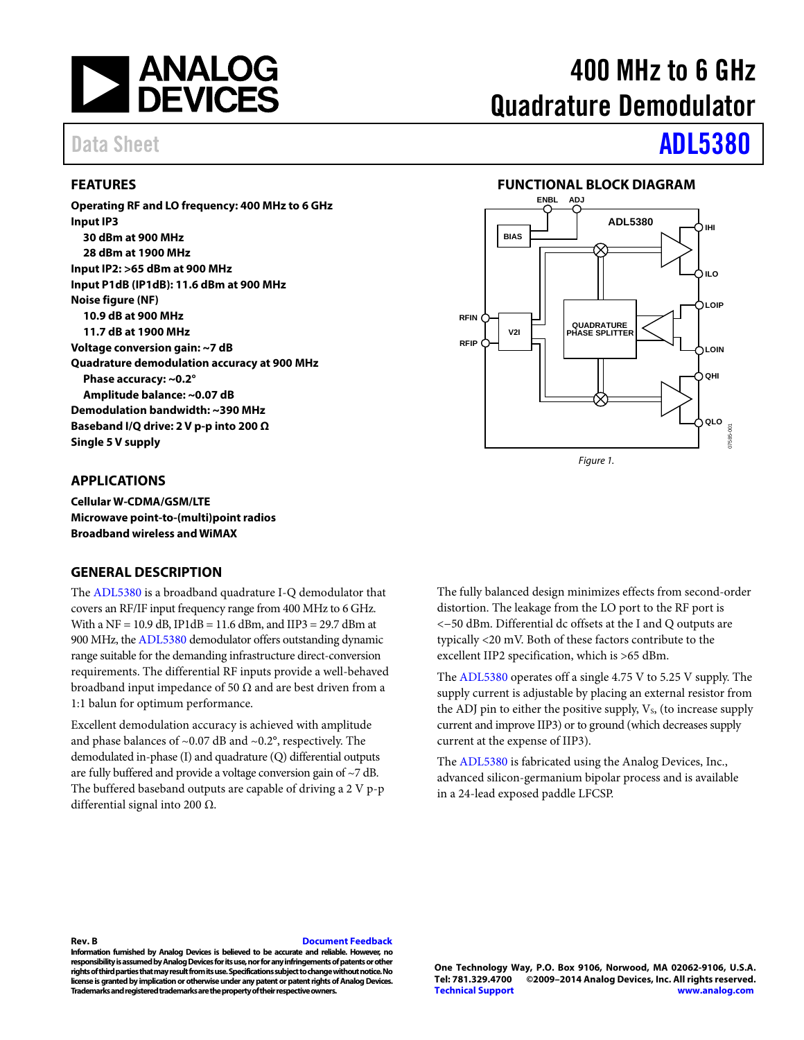

#### <span id="page-0-0"></span>**FEATURES**

**Operating RF and LO frequency: 400 MHz to 6 GHz Input IP3 30 dBm at 900 MHz 28 dBm at 1900 MHz Input IP2: >65 dBm at 900 MHz Input P1dB (IP1dB): 11.6 dBm at 900 MHz Noise figure (NF) 10.9 dB at 900 MHz 11.7 dB at 1900 MHz Voltage conversion gain: ~7 dB Quadrature demodulation accuracy at 900 MHz Phase accuracy: ~0.2° Amplitude balance: ~0.07 dB Demodulation bandwidth: ~390 MHz Baseband I/Q drive: 2 V p-p into 200 Ω Single 5 V supply** 

#### <span id="page-0-1"></span>**APPLICATIONS**

**Cellular W-CDMA/GSM/LTE Microwave point-to-(multi)point radios Broadband wireless and WiMAX**

#### <span id="page-0-3"></span>**GENERAL DESCRIPTION**

The [ADL5380](http://www.analog.com/ADL5380?doc=ADL5380.pdf) is a broadband quadrature I-Q demodulator that covers an RF/IF input frequency range from 400 MHz to 6 GHz. With a NF =  $10.9$  dB, IP1dB =  $11.6$  dBm, and IIP3 =  $29.7$  dBm at 900 MHz, th[e ADL5380](http://www.analog.com/ADL5380?doc=ADL5380.pdf) demodulator offers outstanding dynamic range suitable for the demanding infrastructure direct-conversion requirements. The differential RF inputs provide a well-behaved broadband input impedance of 50  $\Omega$  and are best driven from a 1:1 balun for optimum performance.

Excellent demodulation accuracy is achieved with amplitude and phase balances of  $\sim$ 0.07 dB and  $\sim$ 0.2°, respectively. The demodulated in-phase (I) and quadrature (Q) differential outputs are fully buffered and provide a voltage conversion gain of ~7 dB. The buffered baseband outputs are capable of driving a 2 V p-p differential signal into 200 Ω.

# 400 MHz to 6 GHz Quadrature Demodulator

# Data Sheet **[ADL5380](http://www.analog.com/ADL5380?doc=ADL5380.pdf)**

#### **FUNCTIONAL BLOCK DIAGRAM**

<span id="page-0-2"></span>

The fully balanced design minimizes effects from second-order distortion. The leakage from the LO port to the RF port is <−50 dBm. Differential dc offsets at the I and Q outputs are typically <20 mV. Both of these factors contribute to the excellent IIP2 specification, which is >65 dBm.

The [ADL5380](http://www.analog.com/ADL5380?doc=ADL5380.pdf) operates off a single 4.75 V to 5.25 V supply. The supply current is adjustable by placing an external resistor from the ADJ pin to either the positive supply,  $V_s$ , (to increase supply current and improve IIP3) or to ground (which decreases supply current at the expense of IIP3).

The [ADL5380](http://www.analog.com/ADL5380?doc=ADL5380.pdf) is fabricated using the Analog Devices, Inc., advanced silicon-germanium bipolar process and is available in a 24-lead exposed paddle LFCSP.

#### **Rev. B [Document Feedback](https://form.analog.com/Form_Pages/feedback/documentfeedback.aspx?doc=ADL5380.pdf&product=ADL5380&rev=B)**

**Information furnished by Analog Devices is believed to be accurate and reliable. However, no responsibility is assumed by Analog Devices for its use, nor for any infringements of patents or other rights of third parties that may result from its use. Specifications subject to change without notice. No license is granted by implication or otherwise under any patent or patent rights of Analog Devices. Trademarks and registered trademarks are the property of their respective owners.**

**One Technology Way, P.O. Box 9106, Norwood, MA 02062-9106, U.S.A. Tel: 781.329.4700 ©2009–2014 Analog Devices, Inc. All rights reserved. [Technical Support](http://www.analog.com/en/content/technical_support_page/fca.html) [www.analog.com](http://www.analog.com/)**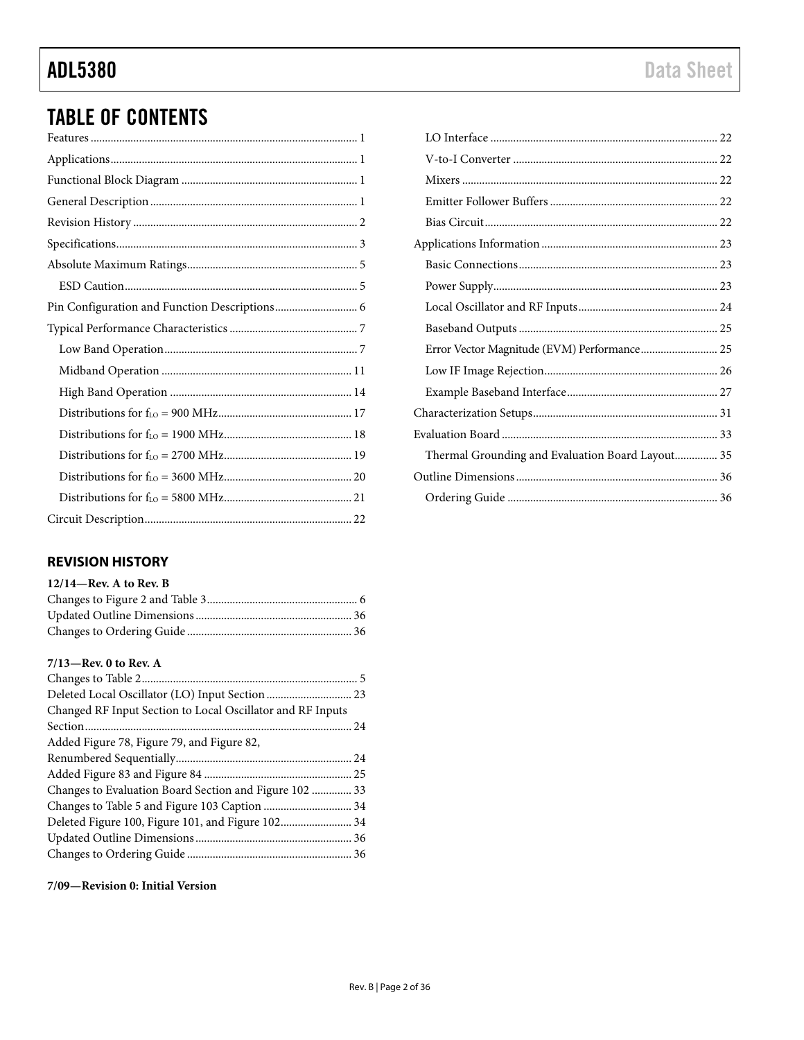# TABLE OF CONTENTS

### <span id="page-1-0"></span>**REVISION HISTORY**

| $12/14$ —Rev. A to Rev. B |  |
|---------------------------|--|
|                           |  |
|                           |  |
|                           |  |

#### **7/13—Rev. 0 to Rev. A**

| Changed RF Input Section to Local Oscillator and RF Inputs |  |
|------------------------------------------------------------|--|
|                                                            |  |
| Added Figure 78, Figure 79, and Figure 82,                 |  |
|                                                            |  |
|                                                            |  |
| Changes to Evaluation Board Section and Figure 102  33     |  |
|                                                            |  |
| Deleted Figure 100, Figure 101, and Figure 102 34          |  |
|                                                            |  |
|                                                            |  |
|                                                            |  |

**7/09—Revision 0: Initial Version**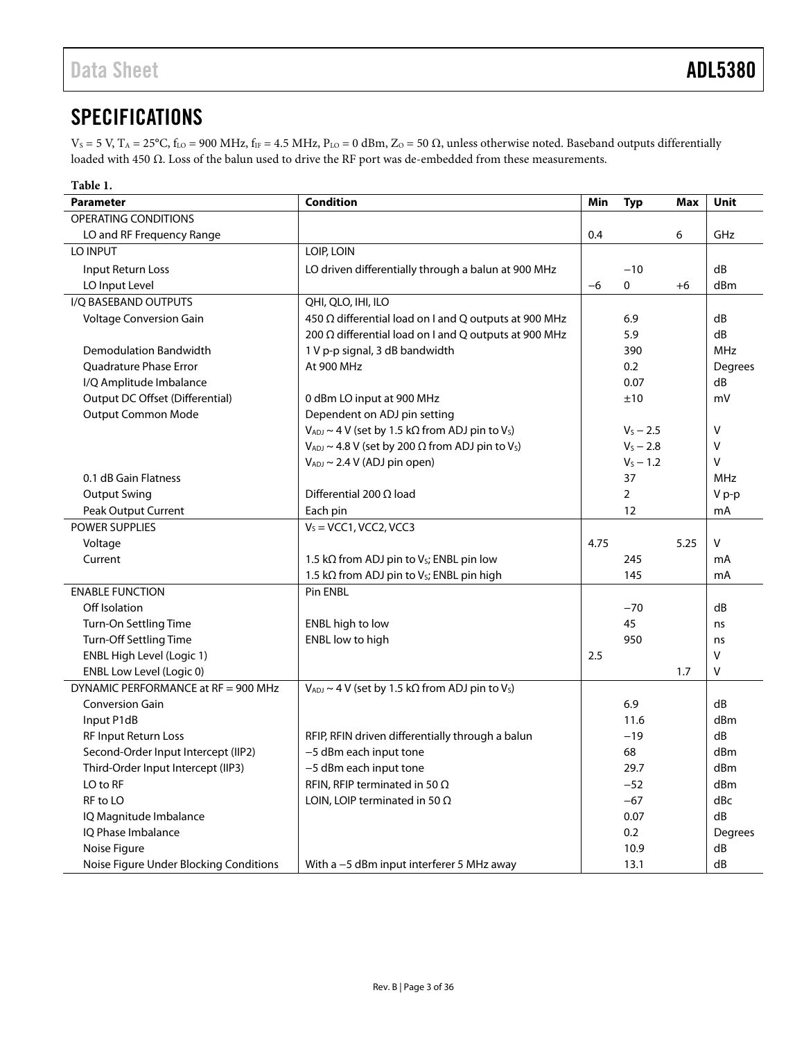## <span id="page-2-0"></span>**SPECIFICATIONS**

 $V_S = 5$  V,  $T_A = 25$ °C,  $f_{LO} = 900$  MHz,  $f_{IF} = 4.5$  MHz,  $P_{LO} = 0$  dBm,  $Z_O = 50$   $\Omega$ , unless otherwise noted. Baseband outputs differentially loaded with 450 Ω. Loss of the balun used to drive the RF port was de-embedded from these measurements.

| Table 1.                               |                                                                            |      |             |      |            |
|----------------------------------------|----------------------------------------------------------------------------|------|-------------|------|------------|
| <b>Parameter</b>                       | <b>Condition</b>                                                           | Min  | <b>Typ</b>  | Max  | Unit       |
| OPERATING CONDITIONS                   |                                                                            |      |             |      |            |
| LO and RF Frequency Range              |                                                                            | 0.4  |             | 6    | GHz        |
| LO INPUT                               | LOIP, LOIN                                                                 |      |             |      |            |
| Input Return Loss                      | LO driven differentially through a balun at 900 MHz                        |      | $-10$       |      | dB         |
| LO Input Level                         |                                                                            | $-6$ | 0           | $+6$ | dBm        |
| I/Q BASEBAND OUTPUTS                   | QHI, QLO, IHI, ILO                                                         |      |             |      |            |
| Voltage Conversion Gain                | 450 Ω differential load on I and Q outputs at 900 MHz                      |      | 6.9         |      | dB         |
|                                        | 200 Ω differential load on I and Q outputs at 900 MHz                      |      | 5.9         |      | dB         |
| <b>Demodulation Bandwidth</b>          | 1 V p-p signal, 3 dB bandwidth                                             |      | 390         |      | <b>MHz</b> |
| Quadrature Phase Error                 | At 900 MHz                                                                 |      | 0.2         |      | Degrees    |
| I/Q Amplitude Imbalance                |                                                                            |      | 0.07        |      | dB         |
| Output DC Offset (Differential)        | 0 dBm LO input at 900 MHz                                                  |      | ±10         |      | mV         |
| <b>Output Common Mode</b>              | Dependent on ADJ pin setting                                               |      |             |      |            |
|                                        | $V_{ADJ} \sim 4$ V (set by 1.5 k $\Omega$ from ADJ pin to V <sub>s</sub> ) |      | $V_S - 2.5$ |      | v          |
|                                        | $V_{ADJ} \sim 4.8$ V (set by 200 $\Omega$ from ADJ pin to V <sub>s</sub> ) |      | $V_S - 2.8$ |      | V          |
|                                        | $V_{ADJ} \sim 2.4 V$ (ADJ pin open)                                        |      | $V_S - 1.2$ |      | V          |
| 0.1 dB Gain Flatness                   |                                                                            |      | 37          |      | <b>MHz</b> |
| <b>Output Swing</b>                    | Differential 200 $\Omega$ load                                             |      | 2           |      | V p-p      |
| Peak Output Current                    | Each pin                                                                   |      | 12          |      | mA         |
| <b>POWER SUPPLIES</b>                  | $VS = VCC1, VCC2, VCC3$                                                    |      |             |      |            |
| Voltage                                |                                                                            | 4.75 |             | 5.25 | v          |
| Current                                | 1.5 k $\Omega$ from ADJ pin to V <sub>s</sub> ; ENBL pin low               |      | 245         |      | mA         |
|                                        | 1.5 k $\Omega$ from ADJ pin to V <sub>s</sub> ; ENBL pin high              |      | 145         |      | mA         |
| <b>ENABLE FUNCTION</b>                 | Pin ENBL                                                                   |      |             |      |            |
| Off Isolation                          |                                                                            |      | $-70$       |      | dB         |
| Turn-On Settling Time                  | ENBL high to low                                                           |      | 45          |      | ns         |
| Turn-Off Settling Time                 | ENBL low to high                                                           |      | 950         |      | ns         |
| ENBL High Level (Logic 1)              |                                                                            | 2.5  |             |      | v          |
| ENBL Low Level (Logic 0)               |                                                                            |      |             | 1.7  | V          |
| DYNAMIC PERFORMANCE at RF = 900 MHz    | $V_{ADJ} \sim 4$ V (set by 1.5 k $\Omega$ from ADJ pin to V <sub>s</sub> ) |      |             |      |            |
| <b>Conversion Gain</b>                 |                                                                            |      | 6.9         |      | dB         |
| Input P1dB                             |                                                                            |      | 11.6        |      | dBm        |
| RF Input Return Loss                   | RFIP, RFIN driven differentially through a balun                           |      | $-19$       |      | dB         |
| Second-Order Input Intercept (IIP2)    | -5 dBm each input tone                                                     |      | 68          |      | dBm        |
| Third-Order Input Intercept (IIP3)     | -5 dBm each input tone                                                     |      | 29.7        |      | dBm        |
| LO to RF                               | RFIN, RFIP terminated in 50 $\Omega$                                       |      | $-52$       |      | dBm        |
| RF to LO                               | LOIN, LOIP terminated in 50 $\Omega$                                       |      | $-67$       |      | dBc        |
| IQ Magnitude Imbalance                 |                                                                            |      | 0.07        |      | dB         |
| IQ Phase Imbalance                     |                                                                            |      | 0.2         |      | Degrees    |
| Noise Figure                           |                                                                            |      | 10.9        |      | dB         |
| Noise Figure Under Blocking Conditions | With a -5 dBm input interferer 5 MHz away                                  |      | 13.1        |      | dB         |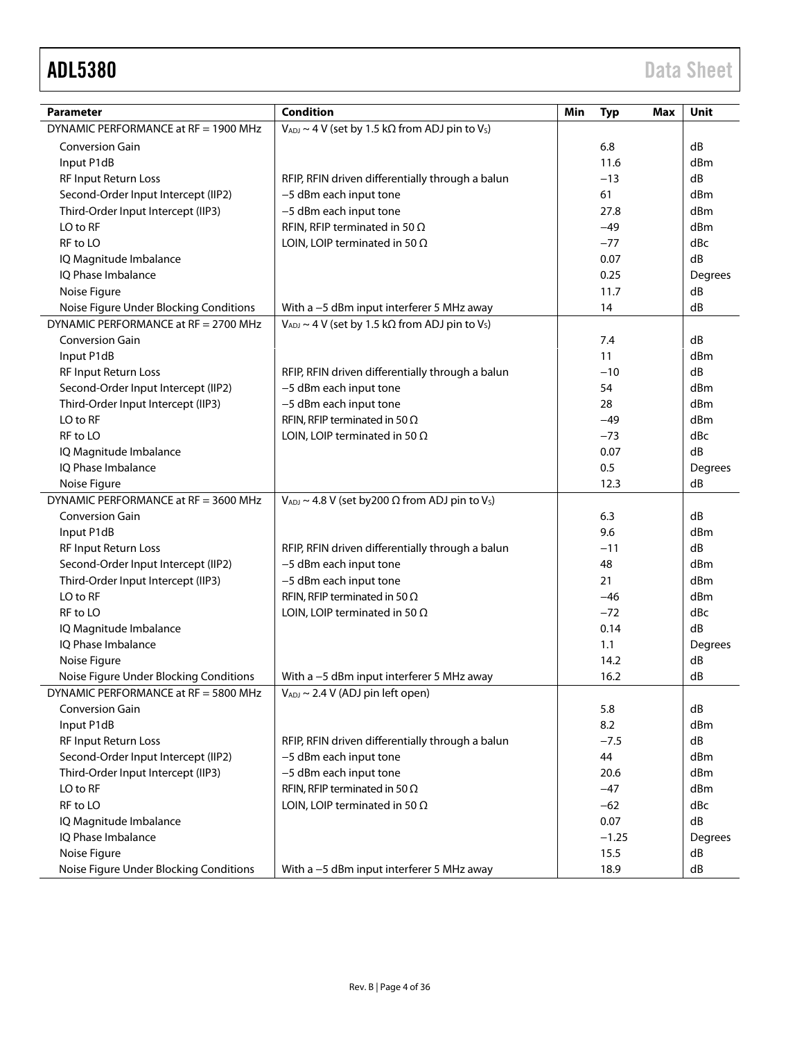| <b>Parameter</b>                       | <b>Condition</b>                                                           | Min<br><b>Typ</b><br>Max | Unit       |
|----------------------------------------|----------------------------------------------------------------------------|--------------------------|------------|
| DYNAMIC PERFORMANCE at RF = 1900 MHz   | $V_{ADJ} \sim 4$ V (set by 1.5 k $\Omega$ from ADJ pin to V <sub>s</sub> ) |                          |            |
| <b>Conversion Gain</b>                 |                                                                            | 6.8                      | dB         |
| Input P1dB                             |                                                                            | 11.6                     | dBm        |
| RF Input Return Loss                   | RFIP, RFIN driven differentially through a balun                           | $-13$                    | dB         |
| Second-Order Input Intercept (IIP2)    | -5 dBm each input tone                                                     | 61                       | dBm        |
| Third-Order Input Intercept (IIP3)     | -5 dBm each input tone                                                     | 27.8                     | dBm        |
| LO to RF                               | RFIN, RFIP terminated in 50 $\Omega$                                       | $-49$                    | dBm        |
| RF to LO                               | LOIN, LOIP terminated in 50 $\Omega$                                       | $-77$                    | dBc        |
| IQ Magnitude Imbalance                 |                                                                            | 0.07                     | dB         |
| IQ Phase Imbalance                     |                                                                            | 0.25                     | Degrees    |
| Noise Figure                           |                                                                            | 11.7                     | dB         |
| Noise Figure Under Blocking Conditions | With a -5 dBm input interferer 5 MHz away                                  | 14                       | dB         |
| DYNAMIC PERFORMANCE at RF = 2700 MHz   | $V_{ADJ} \sim 4$ V (set by 1.5 k $\Omega$ from ADJ pin to V <sub>s</sub> ) |                          |            |
| <b>Conversion Gain</b>                 |                                                                            | 7.4                      | dB         |
| Input P1dB                             |                                                                            | 11                       | dBm        |
| RF Input Return Loss                   | RFIP, RFIN driven differentially through a balun                           | $-10$                    | dB         |
| Second-Order Input Intercept (IIP2)    | -5 dBm each input tone                                                     | 54                       | dBm        |
| Third-Order Input Intercept (IIP3)     | -5 dBm each input tone                                                     | 28                       | dBm        |
| LO to RF                               | RFIN, RFIP terminated in 50 $\Omega$                                       | $-49$                    | dBm        |
| RF to LO                               | LOIN, LOIP terminated in 50 $\Omega$                                       | $-73$                    | dBc        |
| IQ Magnitude Imbalance                 |                                                                            | 0.07                     | dB         |
| IQ Phase Imbalance                     |                                                                            | 0.5                      | Degrees    |
| Noise Figure                           |                                                                            | 12.3                     | dB         |
| DYNAMIC PERFORMANCE at RF = 3600 MHz   | $V_{ADJ} \sim 4.8$ V (set by 200 $\Omega$ from ADJ pin to Vs)              |                          |            |
| <b>Conversion Gain</b>                 |                                                                            | 6.3                      | dB         |
| Input P1dB                             |                                                                            | 9.6                      | dBm        |
| RF Input Return Loss                   | RFIP, RFIN driven differentially through a balun                           | $-11$                    | dB         |
| Second-Order Input Intercept (IIP2)    | -5 dBm each input tone                                                     | 48                       | dBm        |
| Third-Order Input Intercept (IIP3)     | -5 dBm each input tone                                                     | 21                       | dBm        |
| LO to RF                               | RFIN, RFIP terminated in 50 $\Omega$                                       | $-46$                    | dBm        |
| RF to LO                               | LOIN, LOIP terminated in 50 $\Omega$                                       | $-72$                    | dBc        |
| IQ Magnitude Imbalance                 |                                                                            | 0.14                     | dB         |
| IQ Phase Imbalance                     |                                                                            | 1.1                      | Degrees    |
| Noise Figure                           |                                                                            | 14.2                     | dB         |
| Noise Figure Under Blocking Conditions | With a -5 dBm input interferer 5 MHz away                                  | 16.2                     | dB         |
| DYNAMIC PERFORMANCE at RF = 5800 MHz   | VADJ ~ 2.4 V (ADJ pin left open)                                           |                          |            |
| <b>Conversion Gain</b>                 |                                                                            | 5.8                      | dB         |
| Input P1dB                             |                                                                            | 8.2                      | dBm        |
| RF Input Return Loss                   | RFIP, RFIN driven differentially through a balun                           | $-7.5$                   | dB         |
| Second-Order Input Intercept (IIP2)    | -5 dBm each input tone                                                     | 44                       | dBm        |
| Third-Order Input Intercept (IIP3)     | -5 dBm each input tone                                                     | 20.6                     | dBm        |
| LO to RF                               | RFIN, RFIP terminated in 50 $\Omega$                                       | $-47$                    | dBm        |
| RF to LO                               | LOIN, LOIP terminated in 50 $\Omega$                                       | $-62$                    | dBc        |
| IQ Magnitude Imbalance                 |                                                                            | 0.07                     | dB         |
| IQ Phase Imbalance                     |                                                                            | $-1.25$                  | Degrees    |
| Noise Figure                           |                                                                            | 15.5                     | dB         |
| Noise Figure Under Blocking Conditions | With a -5 dBm input interferer 5 MHz away                                  | 18.9                     | ${\sf dB}$ |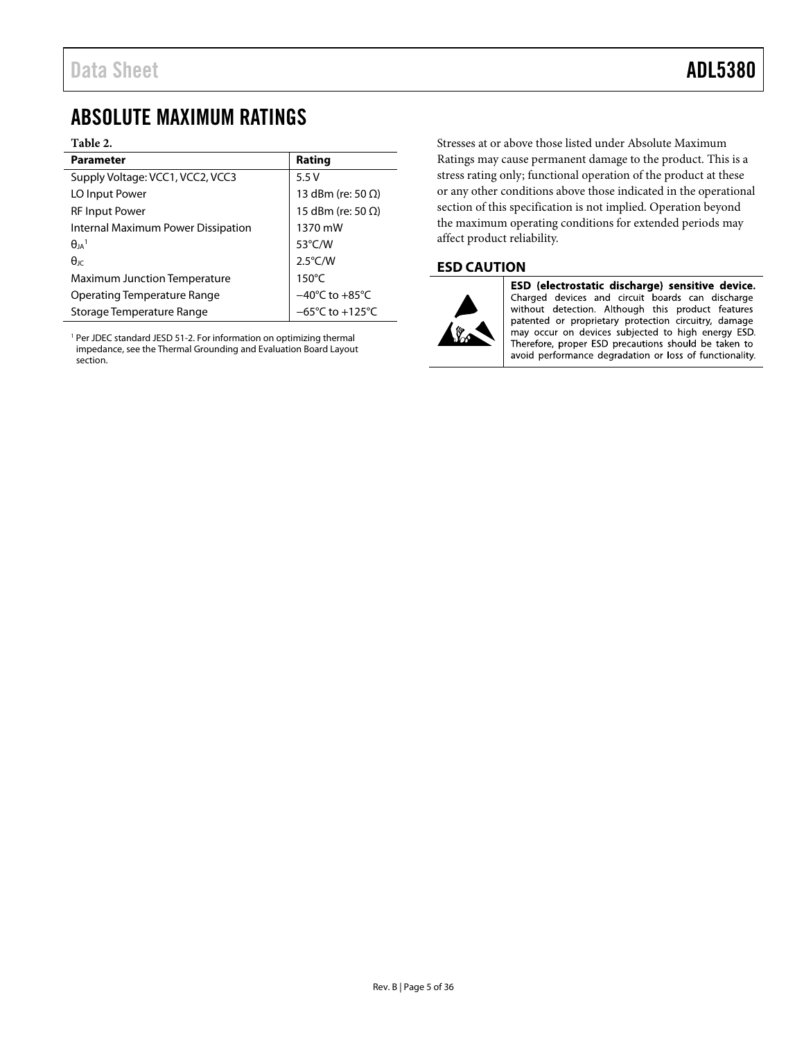## <span id="page-4-0"></span>ABSOLUTE MAXIMUM RATINGS

#### **Table 2.**

| <b>Parameter</b>                    | Rating                               |
|-------------------------------------|--------------------------------------|
| Supply Voltage: VCC1, VCC2, VCC3    | 5.5V                                 |
| LO Input Power                      | 13 dBm (re: 50 $\Omega$ )            |
| <b>RF Input Power</b>               | 15 dBm (re: 50 $\Omega$ )            |
| Internal Maximum Power Dissipation  | 1370 mW                              |
| $\theta_{IA}$ <sup>1</sup>          | 53 $\degree$ C/W                     |
| $\theta$ <sub>IC</sub>              | $2.5^{\circ}$ C/W                    |
| <b>Maximum Junction Temperature</b> | $150^{\circ}$ C                      |
| Operating Temperature Range         | $-40^{\circ}$ C to $+85^{\circ}$ C   |
| Storage Temperature Range           | $-65^{\circ}$ C to +125 $^{\circ}$ C |

<sup>1</sup> Per JDEC standard JESD 51-2. For information on optimizing thermal impedance, see th[e Thermal Grounding and Evaluation Board Layout](#page-34-0) section.

Stresses at or above those listed under Absolute Maximum Ratings may cause permanent damage to the product. This is a stress rating only; functional operation of the product at these or any other conditions above those indicated in the operational section of this specification is not implied. Operation beyond the maximum operating conditions for extended periods may affect product reliability.

### <span id="page-4-1"></span>**ESD CAUTION**



ESD (electrostatic discharge) sensitive device. Charged devices and circuit boards can discharge<br>without detection. Although this product features patented or proprietary protection circuitry, damage may occur on devices subjected to high energy ESD. Therefore, proper ESD precautions should be taken to avoid performance degradation or loss of functionality.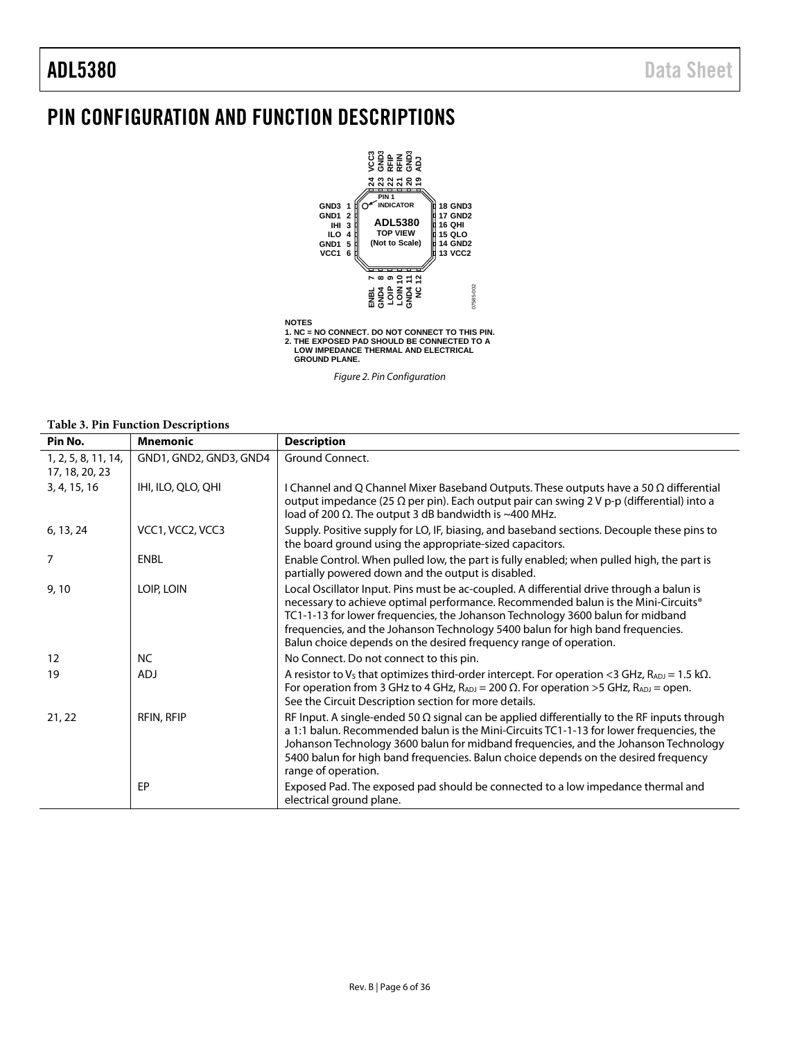## <span id="page-5-0"></span>PIN CONFIGURATION AND FUNCTION DESCRIPTIONS



**NOTES 1. NC = NO CONNECT. DO NOT CONNECT TO THIS PIN. 2. THE EXPOSED PAD SHOULD BE CONNECTED TO A LOW IMPEDANCE THERMAL AND ELECTRICAL GROUND PLANE.**

*Figure 2. Pin Configuration*

#### **Table 3. Pin Function Descriptions**

| Pin No.                               | <b>Mnemonic</b>        | <b>Description</b>                                                                                                                                                                                                                                                                                                                                                                                                     |
|---------------------------------------|------------------------|------------------------------------------------------------------------------------------------------------------------------------------------------------------------------------------------------------------------------------------------------------------------------------------------------------------------------------------------------------------------------------------------------------------------|
| 1, 2, 5, 8, 11, 14,<br>17, 18, 20, 23 | GND1, GND2, GND3, GND4 | Ground Connect.                                                                                                                                                                                                                                                                                                                                                                                                        |
| 3, 4, 15, 16                          | IHI, ILO, QLO, QHI     | I Channel and Q Channel Mixer Baseband Outputs. These outputs have a 50 $\Omega$ differential<br>output impedance (25 $\Omega$ per pin). Each output pair can swing 2 V p-p (differential) into a<br>load of 200 $\Omega$ . The output 3 dB bandwidth is ~400 MHz.                                                                                                                                                     |
| 6, 13, 24                             | VCC1, VCC2, VCC3       | Supply. Positive supply for LO, IF, biasing, and baseband sections. Decouple these pins to<br>the board ground using the appropriate-sized capacitors.                                                                                                                                                                                                                                                                 |
| 7                                     | ENBL                   | Enable Control. When pulled low, the part is fully enabled; when pulled high, the part is<br>partially powered down and the output is disabled.                                                                                                                                                                                                                                                                        |
| 9,10                                  | LOIP, LOIN             | Local Oscillator Input. Pins must be ac-coupled. A differential drive through a balun is<br>necessary to achieve optimal performance. Recommended balun is the Mini-Circuits®<br>TC1-1-13 for lower frequencies, the Johanson Technology 3600 balun for midband<br>frequencies, and the Johanson Technology 5400 balun for high band frequencies.<br>Balun choice depends on the desired frequency range of operation. |
| 12                                    | <b>NC</b>              | No Connect. Do not connect to this pin.                                                                                                                                                                                                                                                                                                                                                                                |
| 19                                    | <b>ADJ</b>             | A resistor to V <sub>s</sub> that optimizes third-order intercept. For operation <3 GHz, $R_{ADJ} = 1.5$ k $\Omega$ .<br>For operation from 3 GHz to 4 GHz, $R_{ADJ} = 200 \Omega$ . For operation >5 GHz, $R_{ADJ} =$ open.<br>See the Circuit Description section for more details.                                                                                                                                  |
| 21, 22                                | RFIN, RFIP             | RF Input. A single-ended 50 $\Omega$ signal can be applied differentially to the RF inputs through<br>a 1:1 balun. Recommended balun is the Mini-Circuits TC1-1-13 for lower frequencies, the<br>Johanson Technology 3600 balun for midband frequencies, and the Johanson Technology<br>5400 balun for high band frequencies. Balun choice depends on the desired frequency<br>range of operation.                     |
|                                       | EP                     | Exposed Pad. The exposed pad should be connected to a low impedance thermal and<br>electrical ground plane.                                                                                                                                                                                                                                                                                                            |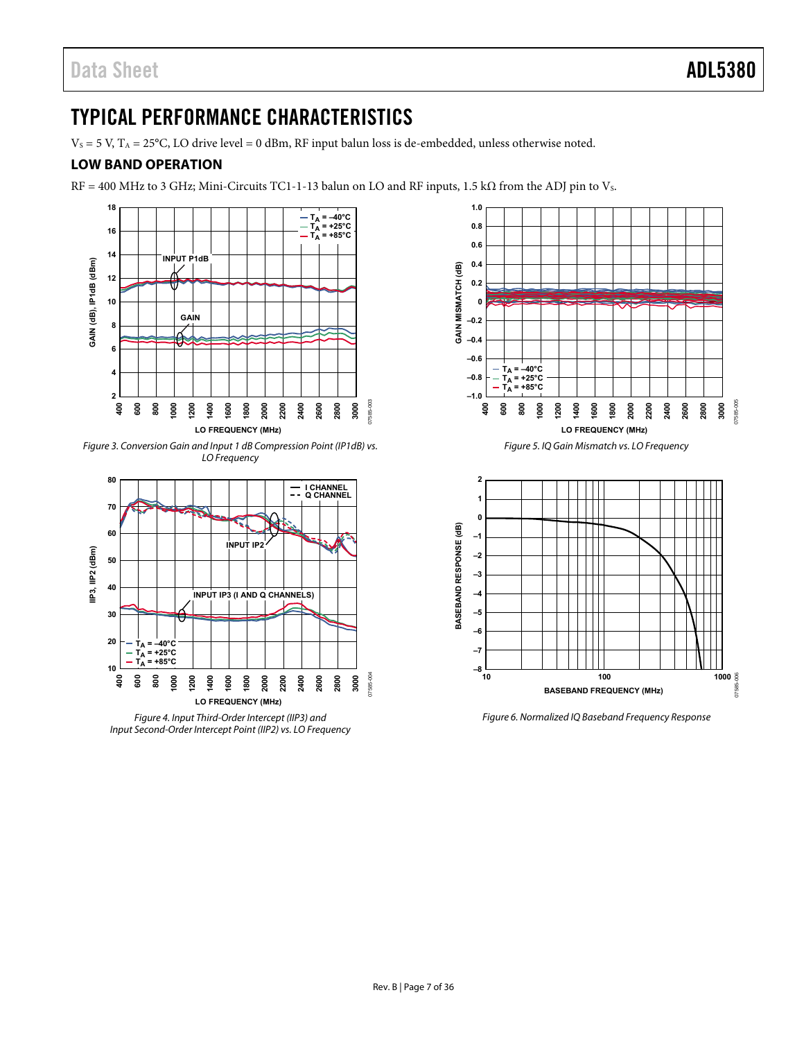## <span id="page-6-0"></span>TYPICAL PERFORMANCE CHARACTERISTICS

 $V_S = 5$  V,  $T_A = 25$ °C, LO drive level = 0 dBm, RF input balun loss is de-embedded, unless otherwise noted.

### <span id="page-6-1"></span>**LOW BAND OPERATION**

 $RF = 400$  MHz to 3 GHz; Mini-Circuits TC1-1-13 balun on LO and RF inputs, 1.5 k $\Omega$  from the ADJ pin to Vs.



Figure 3. Conversion Gain and Input 1 dB Compression Point (IP1dB) vs. LO Frequency



Figure 4. Input Third-Order Intercept (IIP3) and Input Second-Order Intercept Point (IIP2) vs. LO Frequency



Figure 6. Normalized IQ Baseband Frequency Response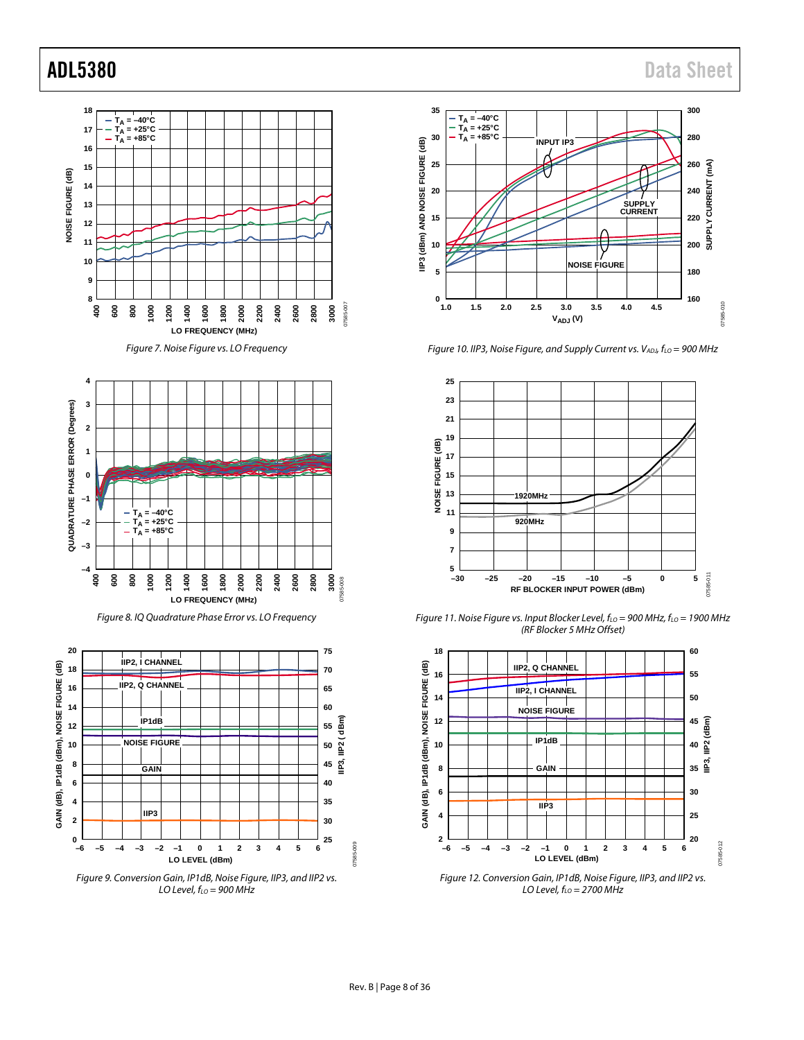

*Figure 7. Noise Figure vs. LO Frequency*



*Figure 8. IQ Quadrature Phase Error vs. LO Frequency*







*Figure 10. IIP3, Noise Figure, and Supply Current vs. VADJ, f<sub>LO</sub> = 900 MHz* 



*Figure 11. Noise Figure vs. Input Blocker Level, fLO = 900 MHz, fLO = 1900 MHz (RF Blocker 5 MHz Offset)*



*Figure 12. Conversion Gain, IP1dB, Noise Figure, IIP3, and IIP2 vs. LO Level, fLO = 2700 MHz*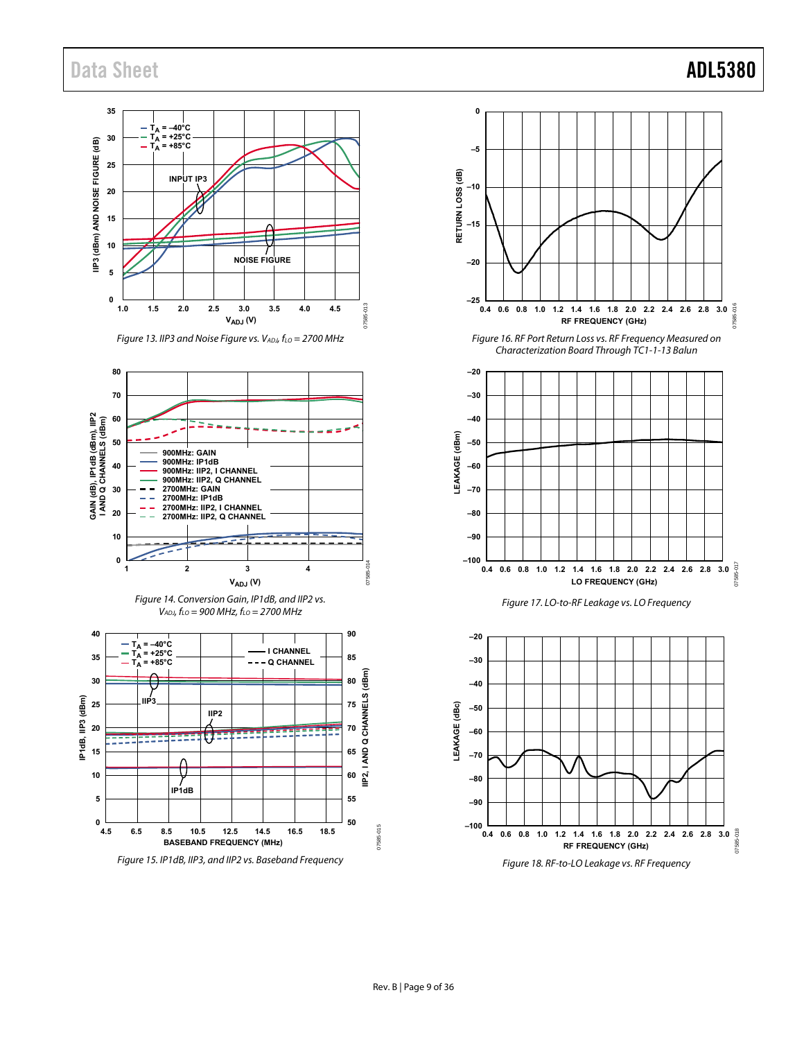Data Sheet **ADL5380** 



Figure 18. RF-to-LO Leakage vs. RF Frequency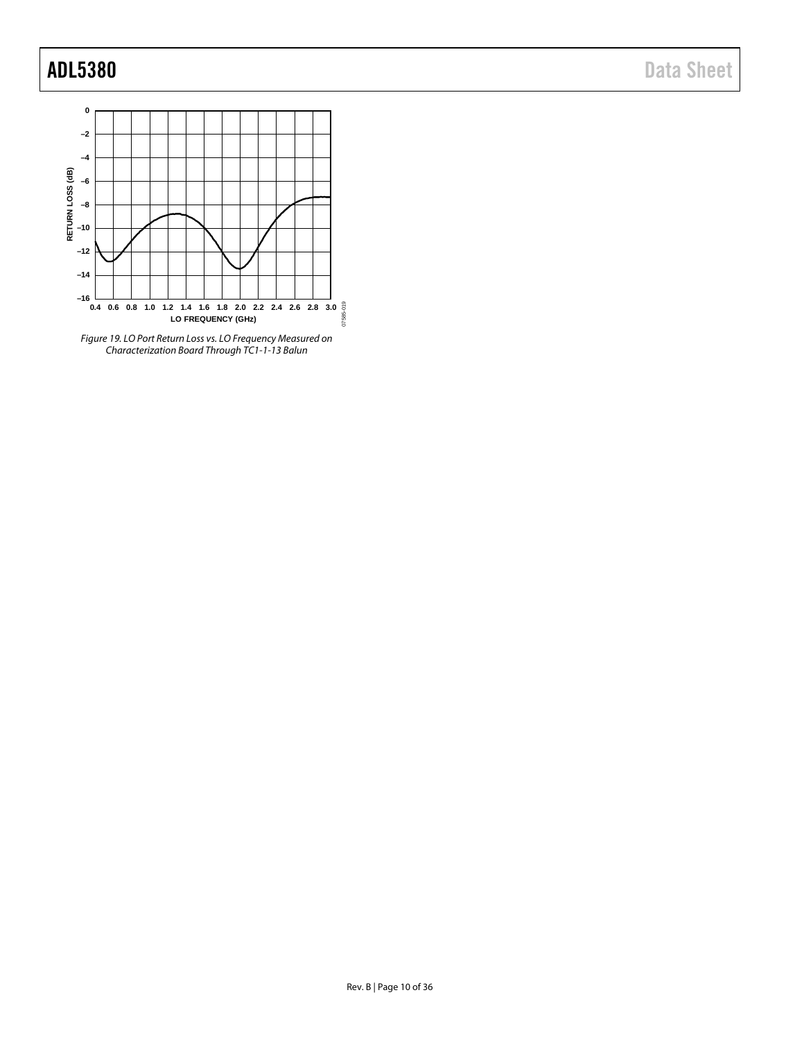## ADL5380 Data Sheet



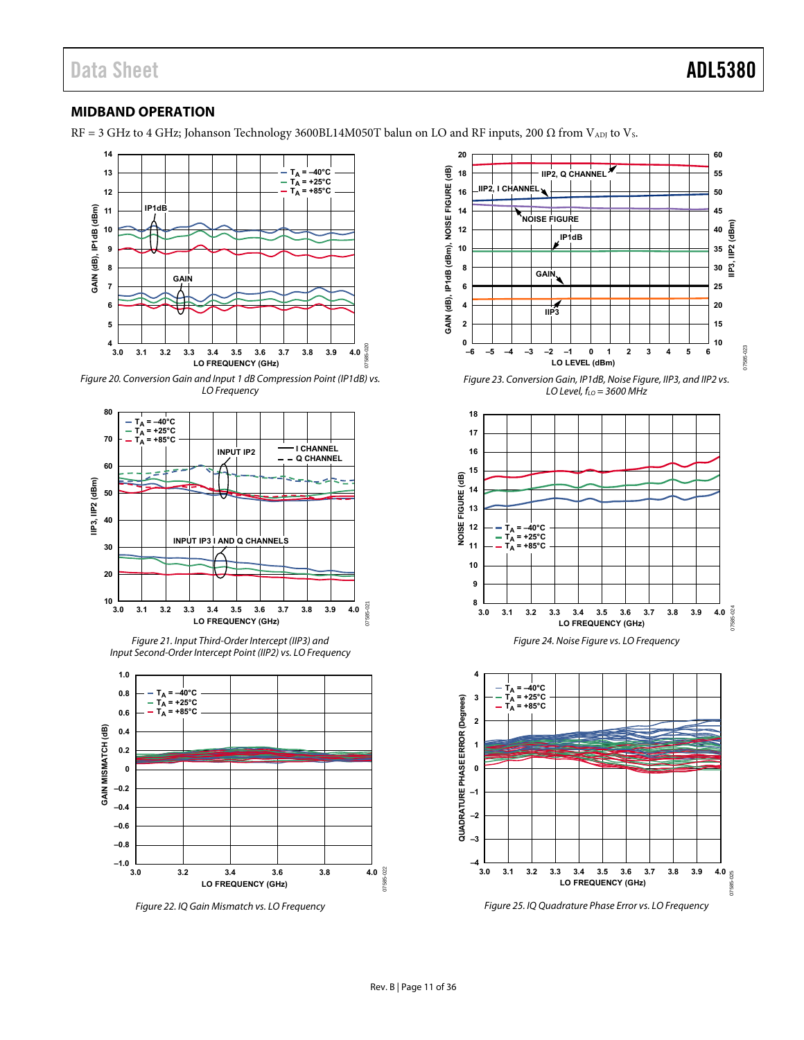07585-023

### <span id="page-10-0"></span>**MIDBAND OPERATION**

RF = 3 GHz to 4 GHz; Johanson Technology 3600BL14M050T balun on LO and RF inputs, 200  $\Omega$  from V<sub>ADJ</sub> to V<sub>s</sub>.



Figure 20. Conversion Gain and Input 1 dB Compression Point (IP1dB) vs. LO Frequency



Figure 21. Input Third-Order Intercept (IIP3) and Input Second-Order Intercept Point (IIP2) vs. LO Frequency



Figure 22. IQ Gain Mismatch vs. LO Frequency

**20 60** (dB) **GAIN (dB), IP1dB (dBm), NOISE FIGURE (dB) 18 55 IIP2, Q CHANNEL NOISE FIGURE IIP2, I CHANNEL 16 50 14 45 NOISE FIGURE IIP3, IIP2 (dBm) 12 40 IP1dB** GAIN (dB), IP1dB (dBm), **10 35 8 30 GAIN 6 25 4 20 IIP3 2 15 10 0** D<sub>23</sub> **–6 –5 –4 –3 –2 –1 0 1 2 3 4 5 6 LO LEVEL (dBm)** Figure 23. Conversion Gain, IP1dB, Noise Figure, IIP3, and IIP2 vs. LO Level,  $f_{LO}$  = 3600 MHz **18 17 16 15** (aB) **NOISE FIGURE (dB) 14** SE FIGURE **13 12**  $T_A = -40^\circ C$ ë **TA = +25°C 11**  $T_A = +85^{\circ}C$ **10 9**  $8 \perp$ <br> $3.0$ 07585-024 07585-024 **3.0 3.1 3.2 3.3 3.4 3.5 3.6 3.7 3.8 3.9 4.0 LO FREQUENCY (GHz)** Figure 24. Noise Figure vs. LO Frequency **4**  $T_A = -40$ °C  $T_{\rm A}$  = +25°C **3 QUADRATURE PHASE ERROR (Degrees) QUADRATURE PHASE ERROR (Degrees)** u, **TA = +85°C 2 1 0 –1 –2 –3 –4 3.0 3.2 3.4 3.6 3.8 3.1 3.3 3.5 3.7 3.9 4.0**  $25$ 07585-025 **LO FREQUENCY (GHz)**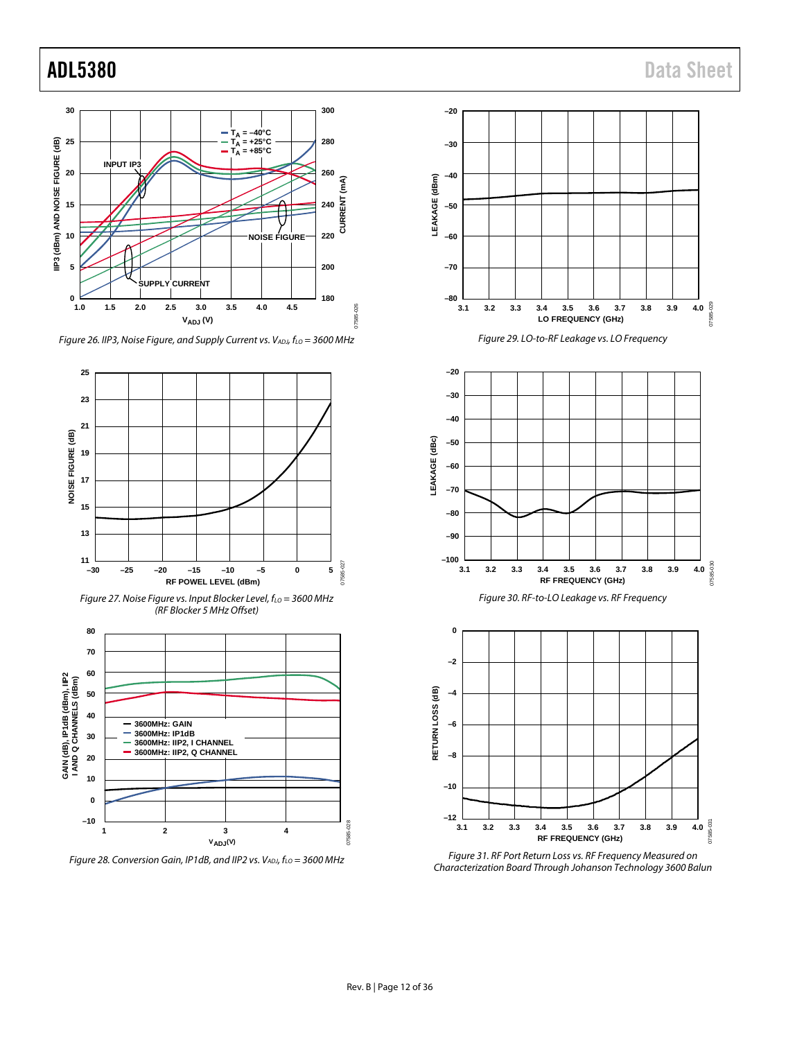

*Figure 26. IIP3, Noise Figure, and Supply Current vs. VADJ, f<sub>LO</sub> = 3600 MHz* 





*Figure 28. Conversion Gain, IP1dB, and IIP2 vs. VADJ, fLO = 3600 MHz*









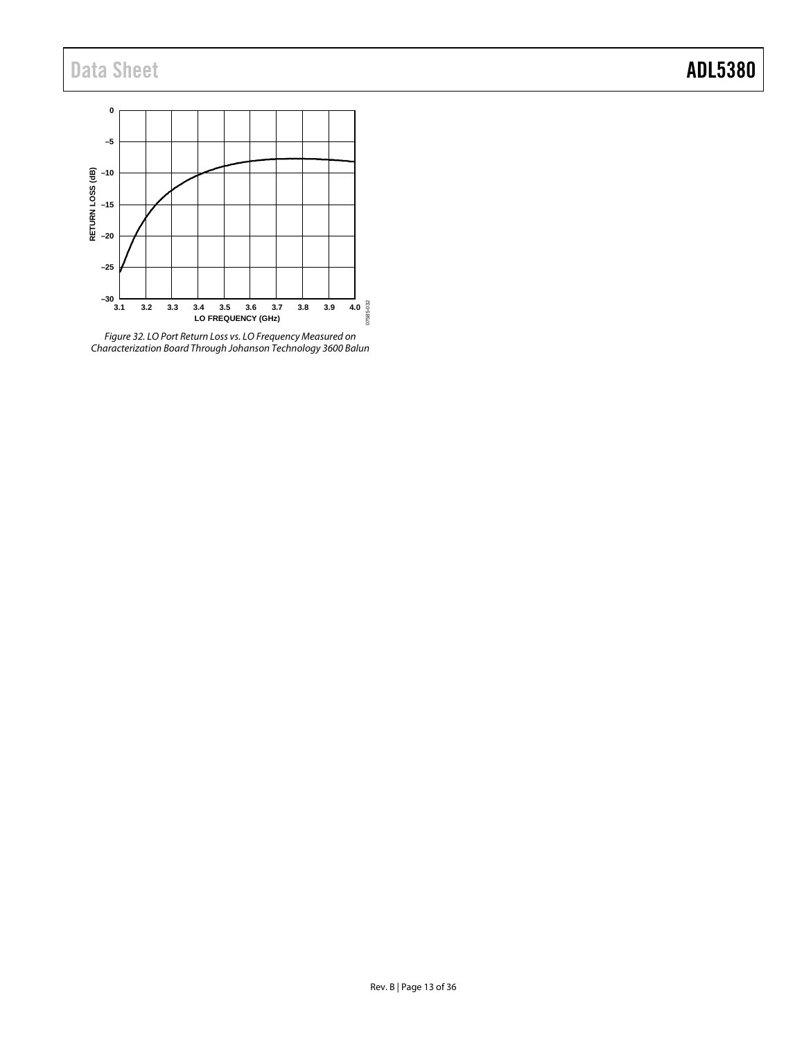## Data Sheet **ADL5380**



*Figure 32. LO Port Return Loss vs. LO Frequency Measured on Characterization Board Through Johanson Technology 3600 Balun*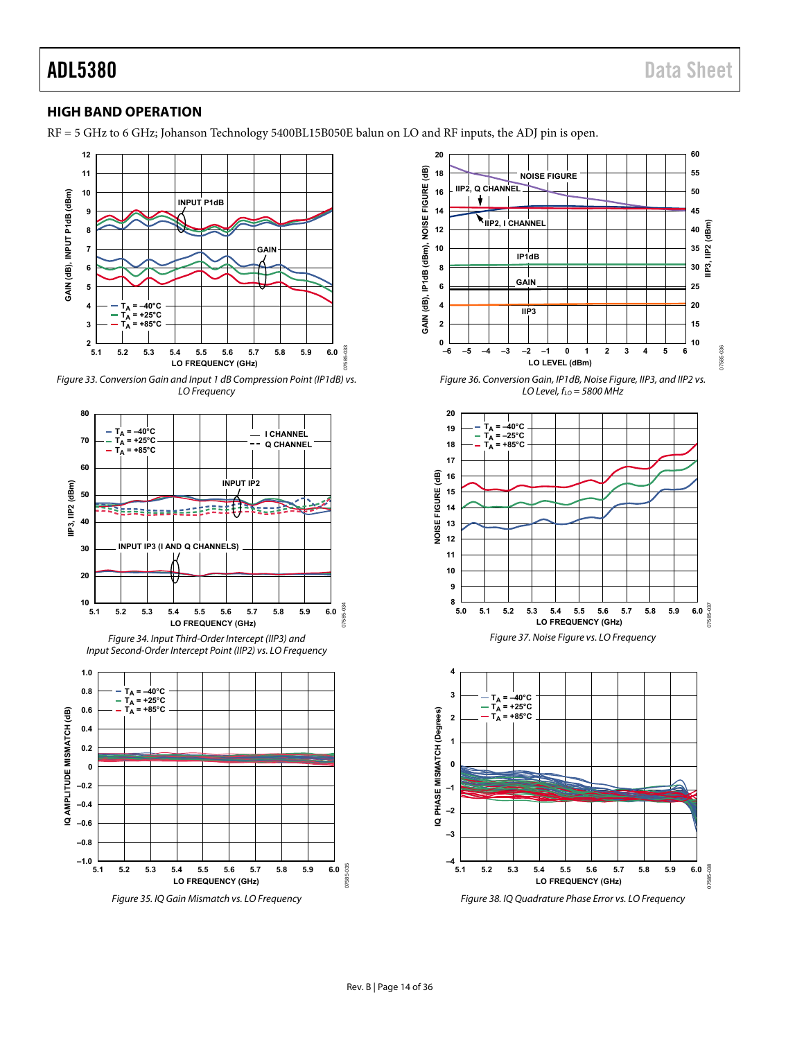#### <span id="page-13-0"></span>**HIGH BAND OPERATION**

RF = 5 GHz to 6 GHz; Johanson Technology 5400BL15B050E balun on LO and RF inputs, the ADJ pin is open.



Figure 33. Conversion Gain and Input 1 dB Compression Point (IP1dB) vs. LO Frequency



Figure 34. Input Third-Order Intercept (IIP3) and Input Second-Order Intercept Point (IIP2) vs. LO Frequency



Figure 35. IQ Gain Mismatch vs. LO Frequency

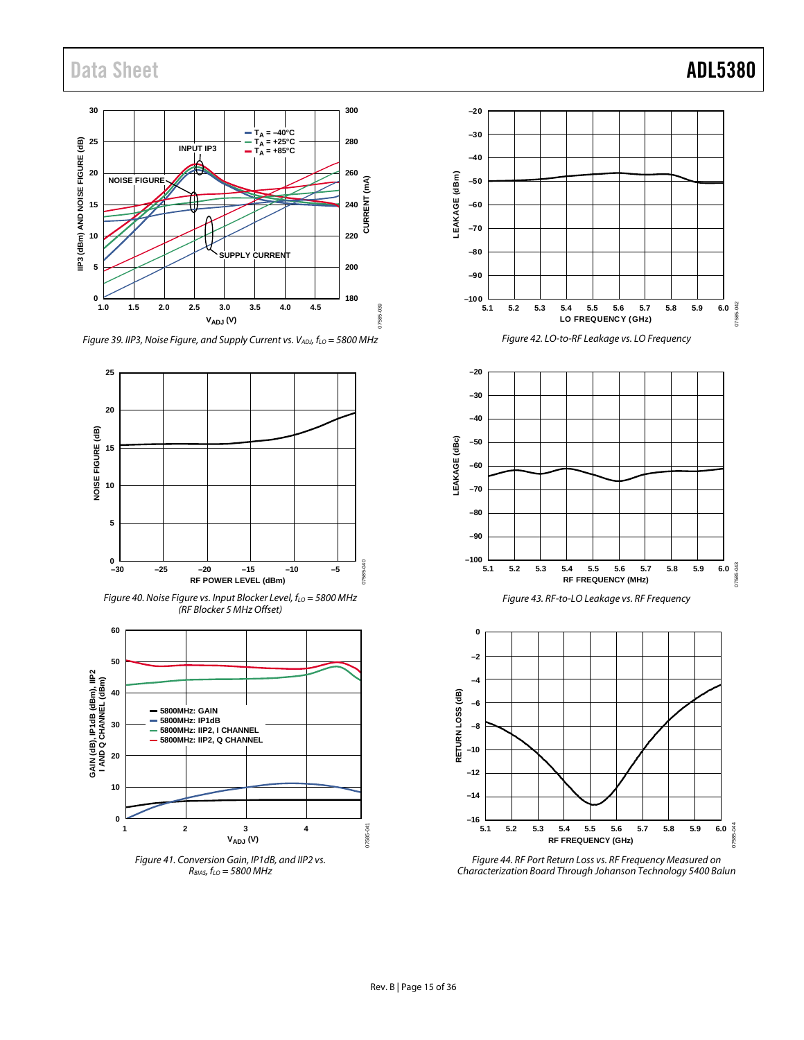## Data Sheet **ADL5380**



*Figure 39. IIP3, Noise Figure, and Supply Current vs. VADJ, f<sub>LO</sub> = 5800 MHz* 













*Figure 44. RF Port Return Loss vs. RF Frequency Measured on Characterization Board Through Johanson Technology 5400 Balun*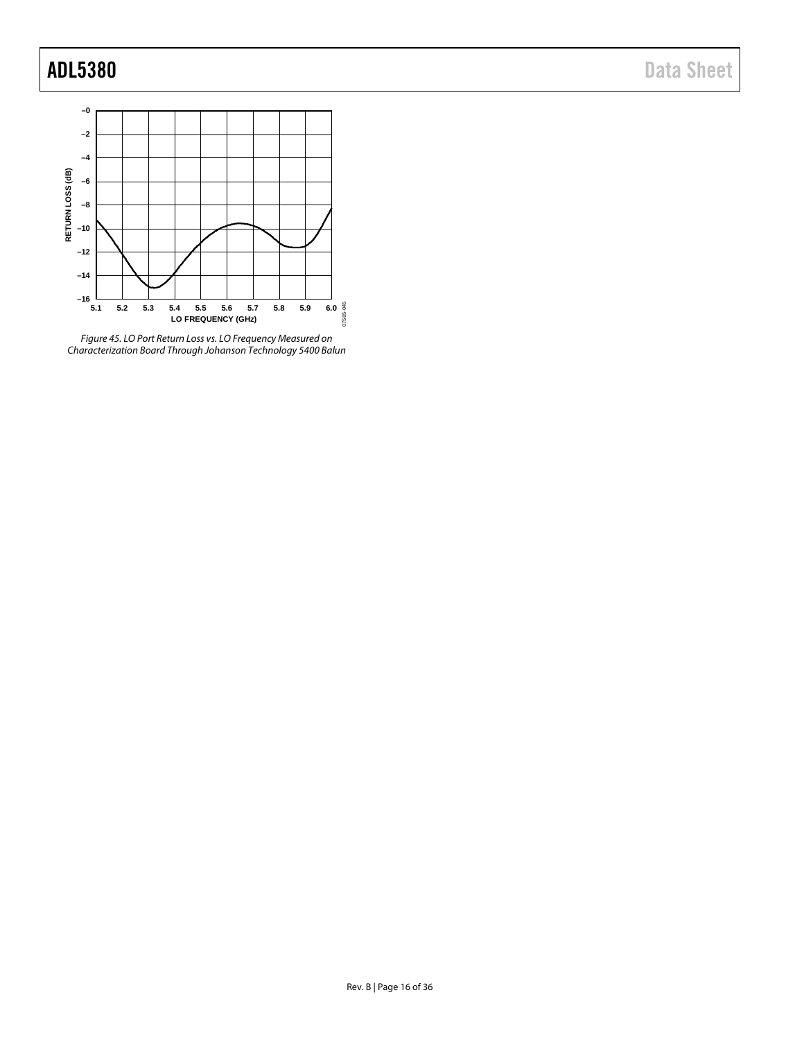

*Figure 45. LO Port Return Loss vs. LO Frequency Measured on Characterization Board Through Johanson Technology 5400 Balun*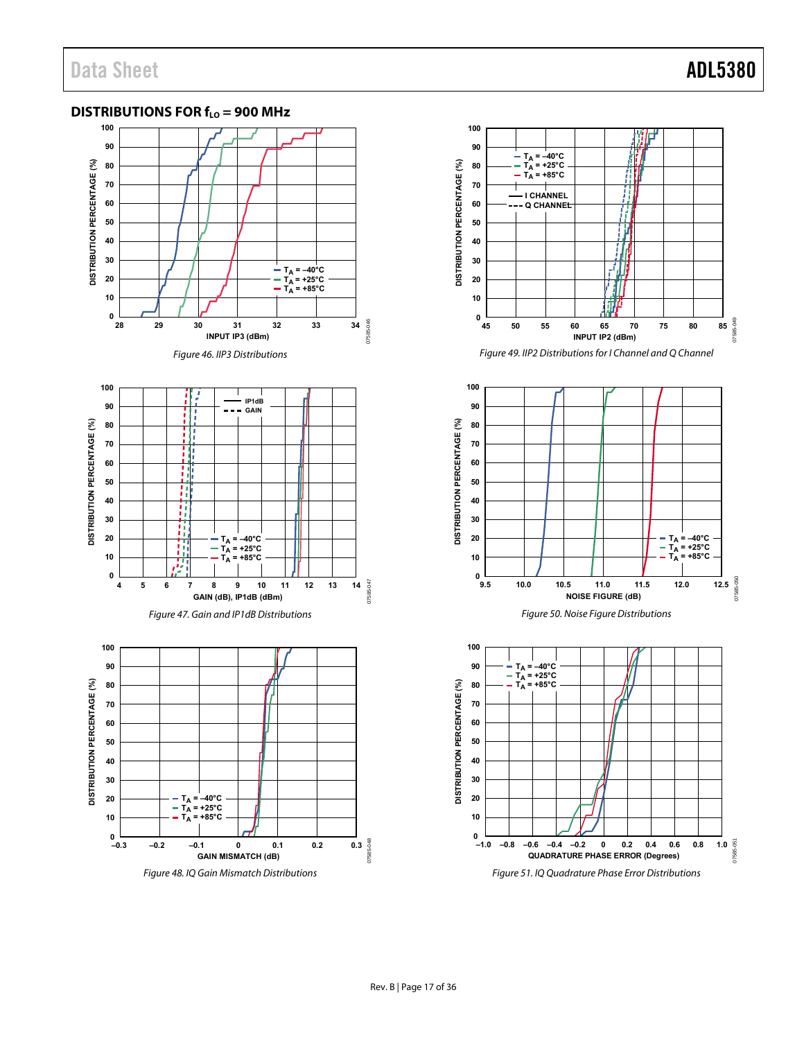### <span id="page-16-0"></span>**DISTRIBUTIONS FOR**  $f_{LO}$  **= 900 MHz**



Figure 48. IQ Gain Mismatch Distributions



Figure 49. IIP2 Distributions for I Channel and Q Channel



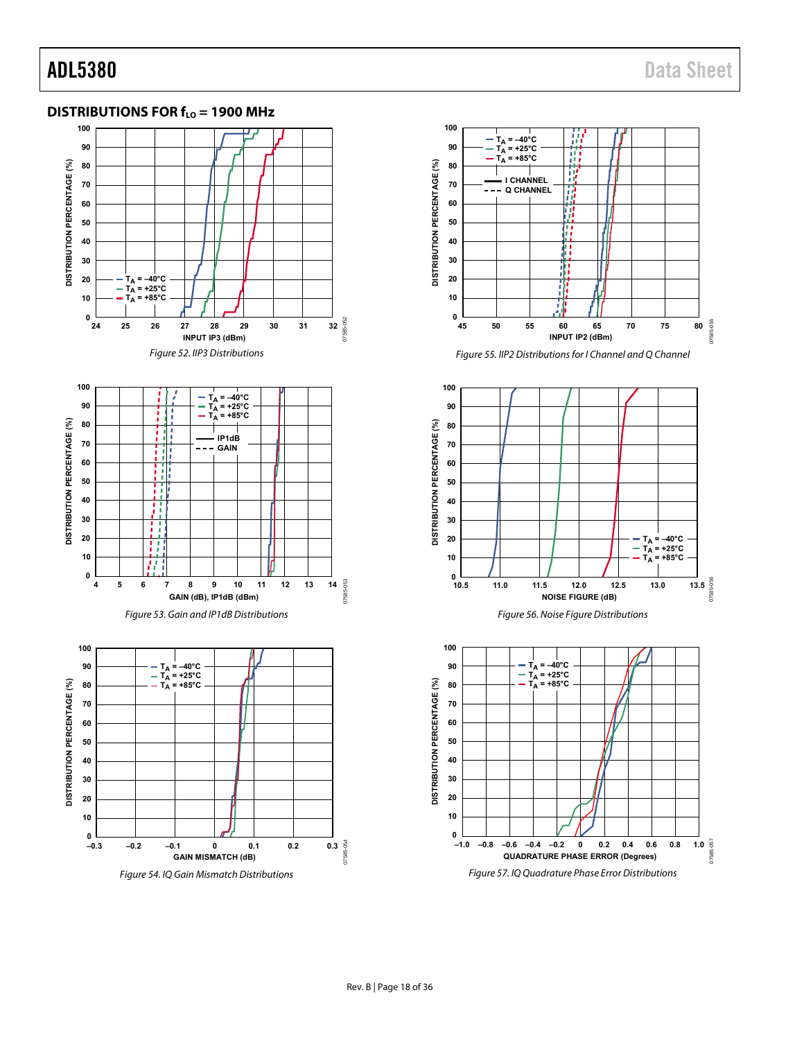### <span id="page-17-0"></span>**DISTRIBUTIONS FOR f<sub>LO</sub> = 1900 MHz**







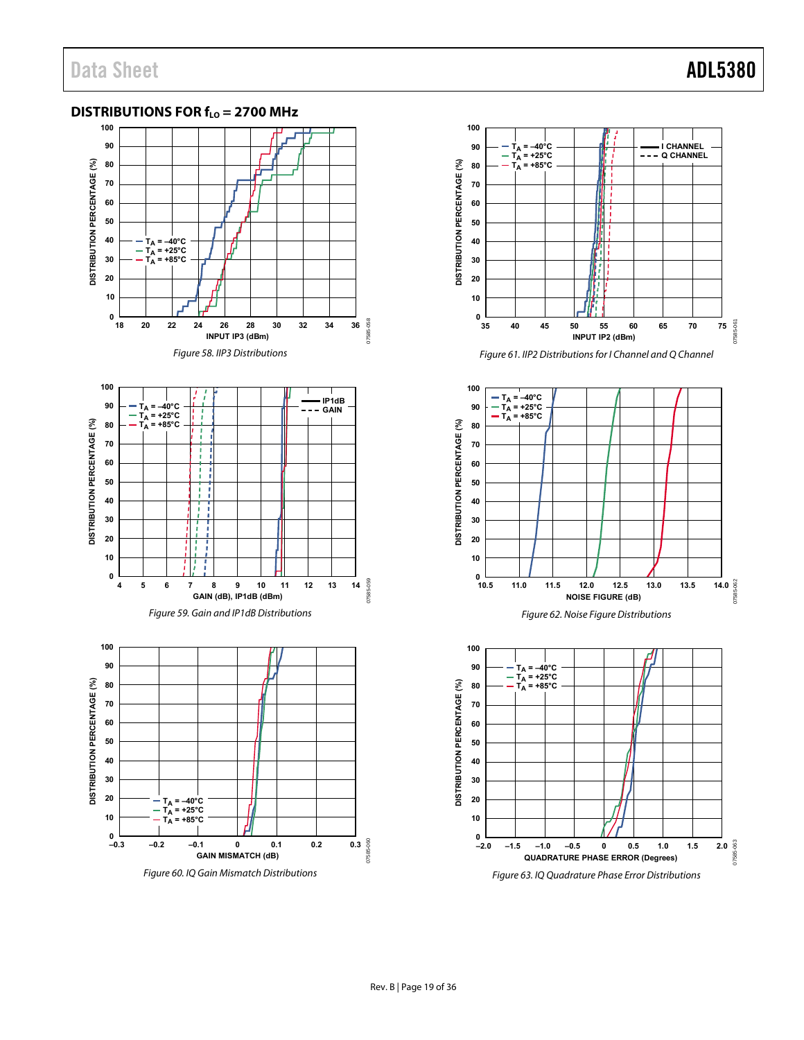### <span id="page-18-0"></span>**DISTRIBUTIONS FOR f<sub>LO</sub> = 2700 MHz**





Figure 61. IIP2 Distributions for I Channel and Q Channel



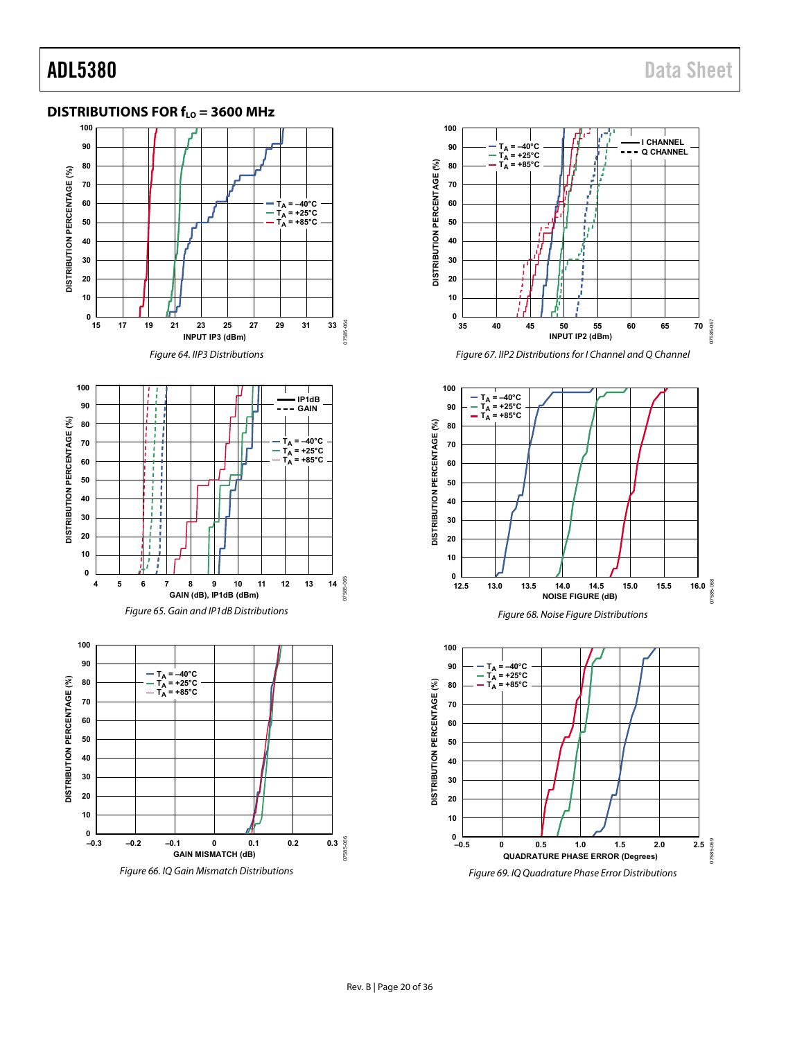07585-068

-068

### <span id="page-19-0"></span>**DISTRIBUTIONS FOR f<sub>LO</sub> = 3600 MHz**







**12.5 13.0 13.5 14.0 14.5 15.0 15.5 16.0**

**NOISE FIGURE (dB)**

Figure 68. Noise Figure Distributions

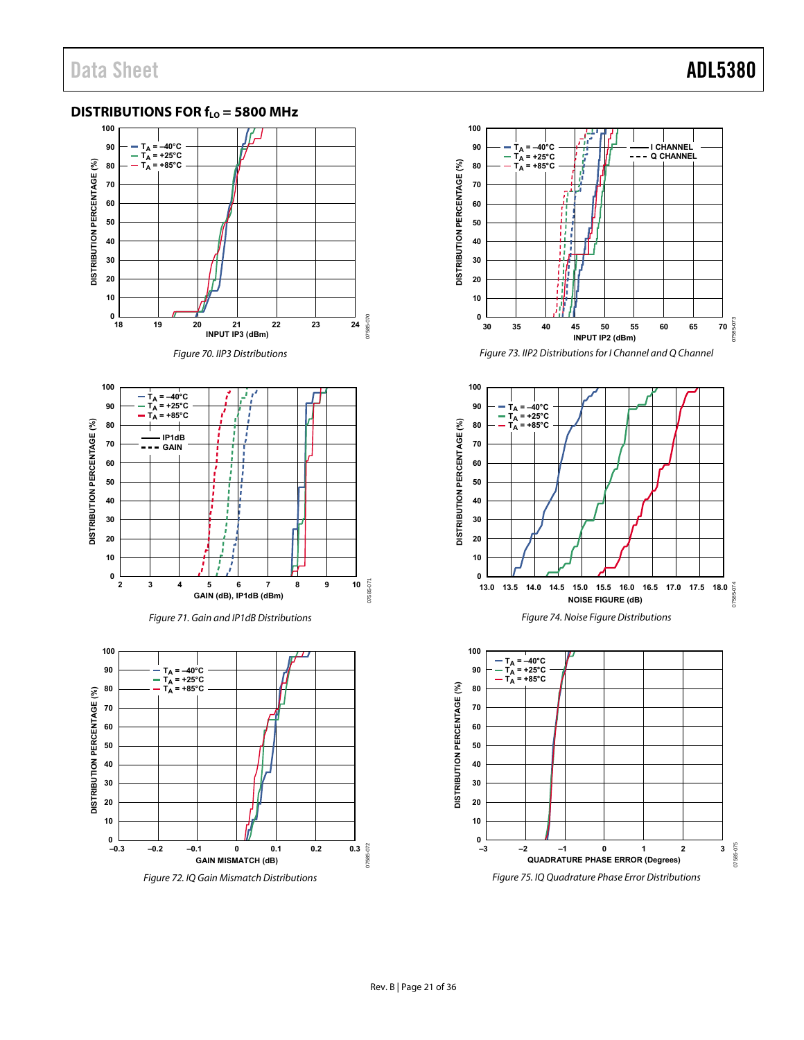### <span id="page-20-0"></span>**DISTRIBUTIONS FOR f<sub>LO</sub> = 5800 MHz**













Figure 73. IIP2 Distributions for I Channel and Q Channel



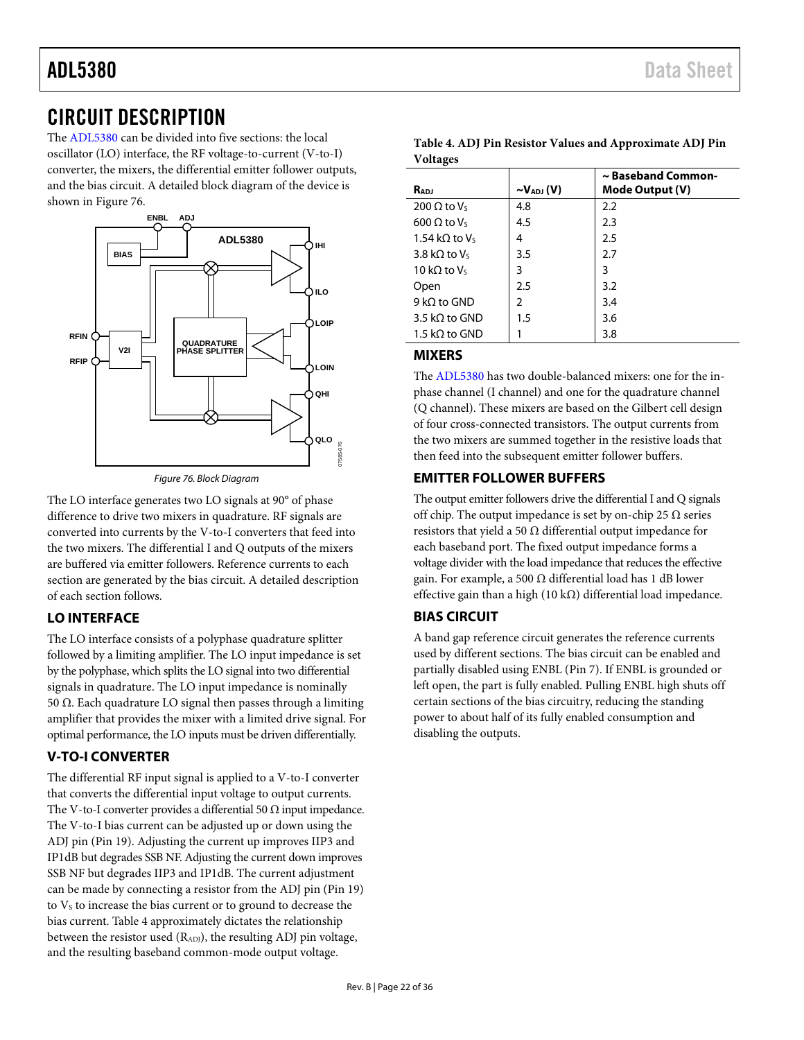## <span id="page-21-0"></span>CIRCUIT DESCRIPTION

The [ADL5380](http://www.analog.com/ADL5380?doc=ADL5380.pdf) can be divided into five sections: the local oscillator (LO) interface, the RF voltage-to-current (V-to-I) converter, the mixers, the differential emitter follower outputs, and the bias circuit. A detailed block diagram of the device is shown in [Figure 76.](#page-21-6) 



*Figure 76. Block Diagram*

<span id="page-21-6"></span>The LO interface generates two LO signals at 90° of phase difference to drive two mixers in quadrature. RF signals are converted into currents by the V-to-I converters that feed into the two mixers. The differential I and Q outputs of the mixers are buffered via emitter followers. Reference currents to each section are generated by the bias circuit. A detailed description of each section follows.

### <span id="page-21-1"></span>**LO INTERFACE**

The LO interface consists of a polyphase quadrature splitter followed by a limiting amplifier. The LO input impedance is set by the polyphase, which splits the LO signal into two differential signals in quadrature. The LO input impedance is nominally 50  $Ω$ . Each quadrature LO signal then passes through a limiting amplifier that provides the mixer with a limited drive signal. For optimal performance, the LO inputs must be driven differentially.

### <span id="page-21-2"></span>**V-TO-I CONVERTER**

The differential RF input signal is applied to a V-to-I converter that converts the differential input voltage to output currents. The V-to-I converter provides a differential 50  $\Omega$  input impedance. The V-to-I bias current can be adjusted up or down using the ADJ pin (Pin 19). Adjusting the current up improves IIP3 and IP1dB but degrades SSB NF. Adjusting the current down improves SSB NF but degrades IIP3 and IP1dB. The current adjustment can be made by connecting a resistor from the ADJ pin (Pin 19) to  $V<sub>s</sub>$  to increase the bias current or to ground to decrease the bias current. [Table 4](#page-21-7) approximately dictates the relationship between the resistor used (RADJ), the resulting ADJ pin voltage, and the resulting baseband common-mode output voltage.

| $\cdot$ ,             |                               |                                       |
|-----------------------|-------------------------------|---------------------------------------|
| RADJ                  | $\sim$ V <sub>ADJ</sub> $(V)$ | ~ Baseband Common-<br>Mode Output (V) |
| 200 $\Omega$ to Vs    | 4.8                           | 2.2                                   |
| 600 $\Omega$ to $V_5$ | 4.5                           | 2.3                                   |
| 1.54 kQ to $V_5$      | 4                             | 2.5                                   |
| 3.8 kQ to $V_s$       | 3.5                           | 2.7                                   |
| 10 kQ to $V_5$        | 3                             | 3                                     |
| Open                  | 2.5                           | 3.2                                   |
| 9 kQ to GND           | $\mathfrak z$                 | 3.4                                   |
| 3.5 kQ to GND         | 1.5                           | 3.6                                   |
| 1.5 kQ to GND         |                               | 3.8                                   |

#### <span id="page-21-7"></span>**Table 4. ADJ Pin Resistor Values and Approximate ADJ Pin Voltages**

### <span id="page-21-3"></span>**MIXERS**

The [ADL5380](http://www.analog.com/ADL5380?doc=ADL5380.pdf) has two double-balanced mixers: one for the inphase channel (I channel) and one for the quadrature channel (Q channel). These mixers are based on the Gilbert cell design of four cross-connected transistors. The output currents from the two mixers are summed together in the resistive loads that then feed into the subsequent emitter follower buffers.

### <span id="page-21-4"></span>**EMITTER FOLLOWER BUFFERS**

The output emitter followers drive the differential I and Q signals off chip. The output impedance is set by on-chip 25  $\Omega$  series resistors that yield a 50  $\Omega$  differential output impedance for each baseband port. The fixed output impedance forms a voltage divider with the load impedance that reduces the effective gain. For example, a 500  $\Omega$  differential load has 1 dB lower effective gain than a high (10 k $\Omega$ ) differential load impedance.

### <span id="page-21-5"></span>**BIAS CIRCUIT**

A band gap reference circuit generates the reference currents used by different sections. The bias circuit can be enabled and partially disabled using ENBL (Pin 7). If ENBL is grounded or left open, the part is fully enabled. Pulling ENBL high shuts off certain sections of the bias circuitry, reducing the standing power to about half of its fully enabled consumption and disabling the outputs.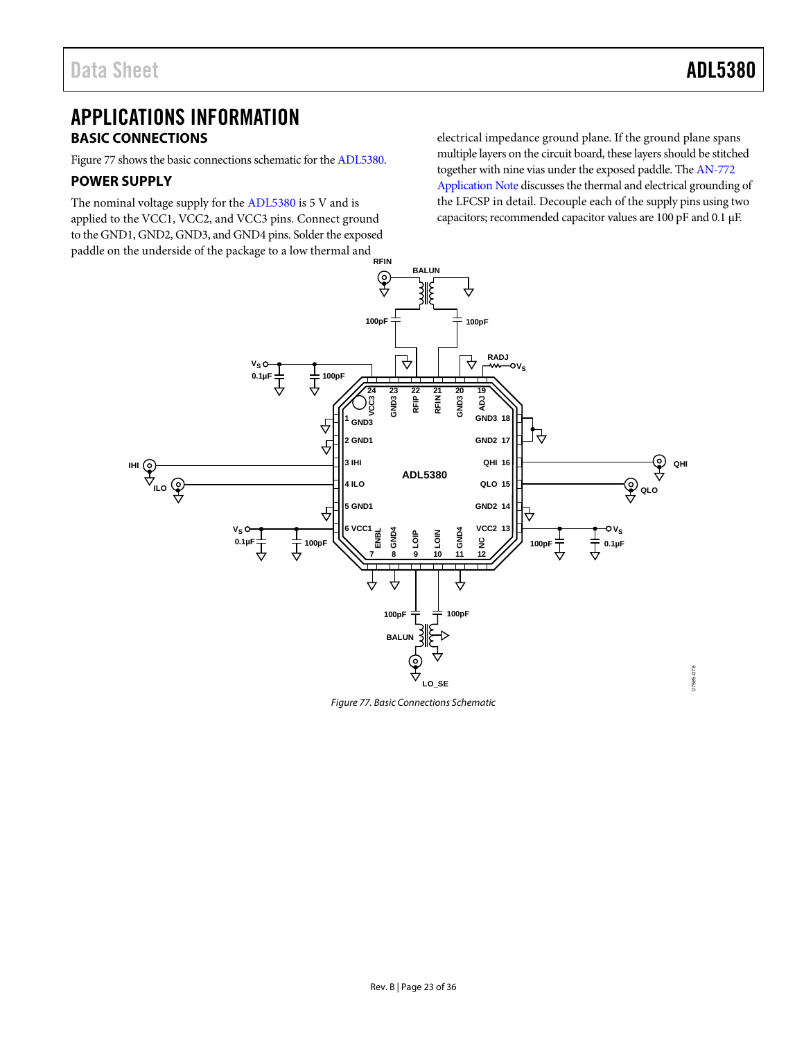## <span id="page-22-0"></span>APPLICATIONS INFORMATION **BASIC CONNECTIONS**

<span id="page-22-1"></span>[Figure 77](#page-22-3) shows the basic connections schematic for th[e ADL5380.](http://www.analog.com/ADL5380?doc=ADL5380.pdf) 

#### <span id="page-22-2"></span>**POWER SUPPLY**

The nominal voltage supply for th[e ADL5380](http://www.analog.com/ADL5380?doc=ADL5380.pdf) is 5 V and is applied to the VCC1, VCC2, and VCC3 pins. Connect ground to the GND1, GND2, GND3, and GND4 pins. Solder the exposed paddle on the underside of the package to a low thermal and **RFIN** electrical impedance ground plane. If the ground plane spans multiple layers on the circuit board, these layers should be stitched together with nine vias under the exposed paddle. Th[e AN-772](http://www.analog.com/AN-772?doc=ADL5380.pdf)  [Application Note](http://www.analog.com/AN-772?doc=ADL5380.pdf) discusses the thermal and electrical grounding of the LFCSP in detail. Decouple each of the supply pins using two capacitors; recommended capacitor values are 100 pF and 0.1 µF.



<span id="page-22-3"></span>*Figure 77. Basic Connections Schematic*

07585-078 07585-078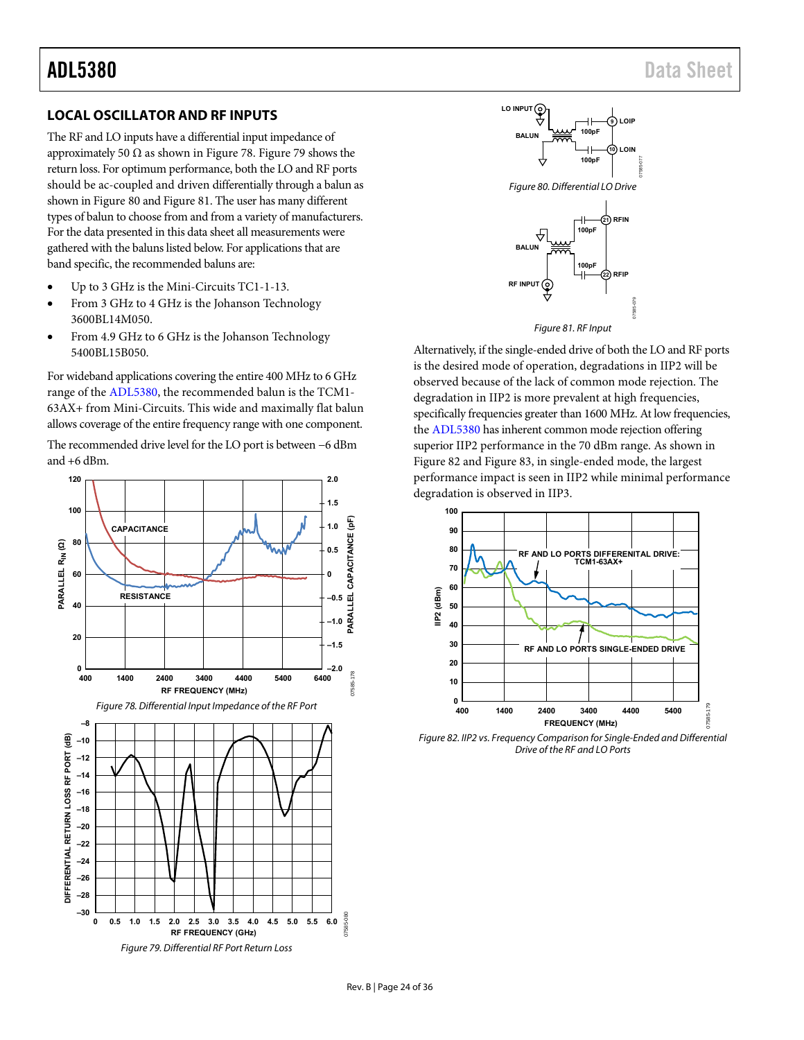#### <span id="page-23-0"></span>**LOCAL OSCILLATOR AND RF INPUTS**

The RF and LO inputs have a differential input impedance of approximately 50  $\Omega$  as shown in [Figure 78.](#page-23-1) [Figure 79 s](#page-23-2)hows the return loss. For optimum performance, both the LO and RF ports should be ac-coupled and driven differentially through a balun as shown i[n Figure 80 a](#page-23-3)n[d Figure 81.](#page-23-4) The user has many different types of balun to choose from and from a variety of manufacturers. For the data presented in this data sheet all measurements were gathered with the baluns listed below. For applications that are band specific, the recommended baluns are:

- Up to 3 GHz is the Mini-Circuits TC1-1-13.
- From 3 GHz to 4 GHz is the Johanson Technology 3600BL14M050.
- From 4.9 GHz to 6 GHz is the Johanson Technology 5400BL15B050.

For wideband applications covering the entire 400 MHz to 6 GHz range of the [ADL5380,](http://www.analog.com/ADL5380?doc=ADL5380.pdf) the recommended balun is the TCM1- 63AX+ from Mini-Circuits. This wide and maximally flat balun allows coverage of the entire frequency range with one component.

The recommended drive level for the LO port is between −6 dBm and +6 dBm.

<span id="page-23-1"></span>

<span id="page-23-3"></span>



<span id="page-23-4"></span>Alternatively, if the single-ended drive of both the LO and RF ports is the desired mode of operation, degradations in IIP2 will be observed because of the lack of common mode rejection. The degradation in IIP2 is more prevalent at high frequencies, specifically frequencies greater than 1600 MHz. At low frequencies, the [ADL5380 h](http://www.analog.com/ADL5380?doc=ADL5380.pdf)as inherent common mode rejection offering superior IIP2 performance in the 70 dBm range. As shown in [Figure 82 a](#page-23-5)nd [Figure 83,](#page-24-2) in single-ended mode, the largest performance impact is seen in IIP2 while minimal performance degradation is observed in IIP3.



<span id="page-23-5"></span><span id="page-23-2"></span>Figure 82. IIP2 vs. Frequency Comparison for Single-Ended and Differential Drive of the RF and LO Ports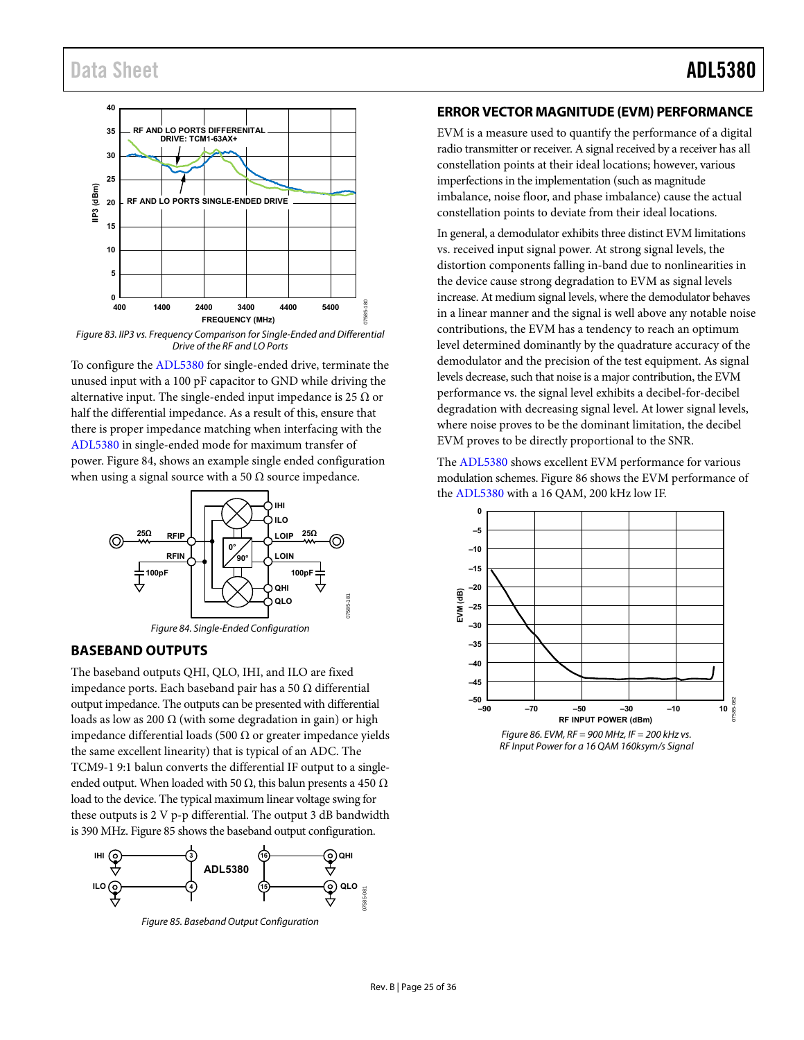## Data Sheet **ADL5380**



<span id="page-24-2"></span>Figure 83. IIP3 vs. Frequency Comparison for Single-Ended and Differential Drive of the RF and LO Ports

To configure th[e ADL5380 f](http://www.analog.com/ADL5380?doc=ADL5380.pdf)or single-ended drive, terminate the unused input with a 100 pF capacitor to GND while driving the alternative input. The single-ended input impedance is 25  $\Omega$  or half the differential impedance. As a result of this, ensure that there is proper impedance matching when interfacing with the [ADL5380 i](http://www.analog.com/ADL5380?doc=ADL5380.pdf)n single-ended mode for maximum transfer of power[. Figure 84,](#page-24-3) shows an example single ended configuration when using a signal source with a 50  $\Omega$  source impedance.



#### <span id="page-24-3"></span><span id="page-24-0"></span>**BASEBAND OUTPUTS**

The baseband outputs QHI, QLO, IHI, and ILO are fixed impedance ports. Each baseband pair has a 50 Ω differential output impedance. The outputs can be presented with differential loads as low as 200  $\Omega$  (with some degradation in gain) or high impedance differential loads (500 Ω or greater impedance yields the same excellent linearity) that is typical of an ADC. The TCM9-1 9:1 balun converts the differential IF output to a singleended output. When loaded with 50  $\Omega$ , this balun presents a 450  $\Omega$ load to the device. The typical maximum linear voltage swing for these outputs is 2 V p-p differential. The output 3 dB bandwidth is 390 MHz[. Figure 85 s](#page-24-4)hows the baseband output configuration.

<span id="page-24-4"></span>

Figure 85. Baseband Output Configuration

#### <span id="page-24-1"></span>**ERROR VECTOR MAGNITUDE (EVM) PERFORMANCE**

EVM is a measure used to quantify the performance of a digital radio transmitter or receiver. A signal received by a receiver has all constellation points at their ideal locations; however, various imperfections in the implementation (such as magnitude imbalance, noise floor, and phase imbalance) cause the actual constellation points to deviate from their ideal locations.

In general, a demodulator exhibits three distinct EVM limitations vs. received input signal power. At strong signal levels, the distortion components falling in-band due to nonlinearities in the device cause strong degradation to EVM as signal levels increase. At medium signal levels, where the demodulator behaves in a linear manner and the signal is well above any notable noise contributions, the EVM has a tendency to reach an optimum level determined dominantly by the quadrature accuracy of the demodulator and the precision of the test equipment. As signal levels decrease, such that noise is a major contribution, the EVM performance vs. the signal level exhibits a decibel-for-decibel degradation with decreasing signal level. At lower signal levels, where noise proves to be the dominant limitation, the decibel EVM proves to be directly proportional to the SNR.

The [ADL5380](http://www.analog.com/ADL5380?doc=ADL5380.pdf) shows excellent EVM performance for various modulation schemes[. Figure 86 s](#page-24-5)hows the EVM performance of the [ADL5380](http://www.analog.com/ADL5380?doc=ADL5380.pdf) with a 16 QAM, 200 kHz low IF.



<span id="page-24-5"></span>Figure 86. EVM,  $RF = 900$  MHz, IF = 200 kHz vs. RF Input Power for a 16 QAM 160ksym/s Signal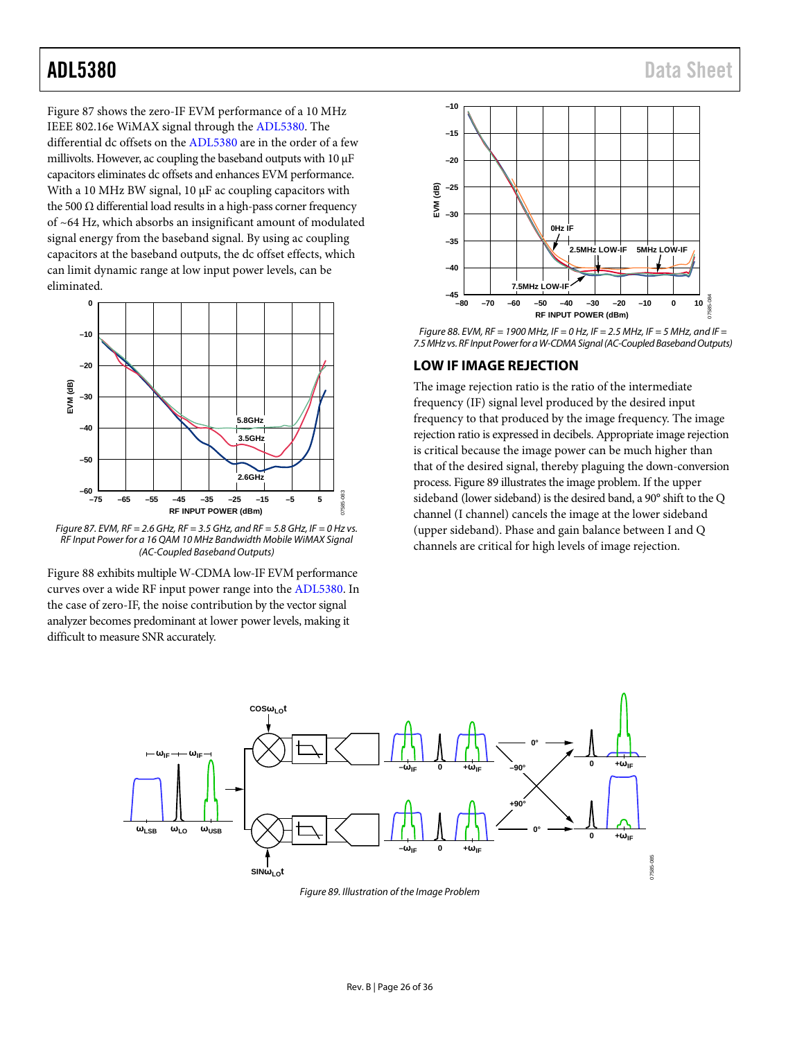[Figure 87](#page-25-1) shows the zero-IF EVM performance of a 10 MHz IEEE 802.16e WiMAX signal through the [ADL5380.](http://www.analog.com/ADL5380?doc=ADL5380.pdf) The differential dc offsets on the [ADL5380](http://www.analog.com/ADL5380?doc=ADL5380.pdf) are in the order of a few millivolts. However, ac coupling the baseband outputs with  $10 \mu$ F capacitors eliminates dc offsets and enhances EVM performance. With a 10 MHz BW signal,  $10 \mu$ F ac coupling capacitors with the 500  $Ω$  differential load results in a high-pass corner frequency of ~64 Hz, which absorbs an insignificant amount of modulated signal energy from the baseband signal. By using ac coupling capacitors at the baseband outputs, the dc offset effects, which can limit dynamic range at low input power levels, can be eliminated.



<span id="page-25-1"></span>*Figure 87. EVM, RF = 2.6 GHz, RF = 3.5 GHz, and RF = 5.8 GHz, IF = 0 Hz vs. RF Input Power for a 16 QAM 10 MHz Bandwidth Mobile WiMAX Signal (AC-Coupled Baseband Outputs)*

[Figure 88](#page-25-2) exhibits multiple W-CDMA low-IF EVM performance curves over a wide RF input power range into th[e ADL5380.](http://www.analog.com/ADL5380?doc=ADL5380.pdf) In the case of zero-IF, the noise contribution by the vector signal analyzer becomes predominant at lower power levels, making it difficult to measure SNR accurately.



<span id="page-25-2"></span>*Figure 88. EVM, RF = 1900 MHz, IF = 0 Hz, IF = 2.5 MHz, IF = 5 MHz, and IF = 7.5 MHz vs. RF Input Power for a W-CDMA Signal (AC-Coupled Baseband Outputs)* 

### <span id="page-25-0"></span>**LOW IF IMAGE REJECTION**

The image rejection ratio is the ratio of the intermediate frequency (IF) signal level produced by the desired input frequency to that produced by the image frequency. The image rejection ratio is expressed in decibels. Appropriate image rejection is critical because the image power can be much higher than that of the desired signal, thereby plaguing the down-conversion process[. Figure 89](#page-25-3) illustrates the image problem. If the upper sideband (lower sideband) is the desired band, a 90° shift to the Q channel (I channel) cancels the image at the lower sideband (upper sideband). Phase and gain balance between I and Q channels are critical for high levels of image rejection.

<span id="page-25-3"></span>

*Figure 89. Illustration of the Image Problem*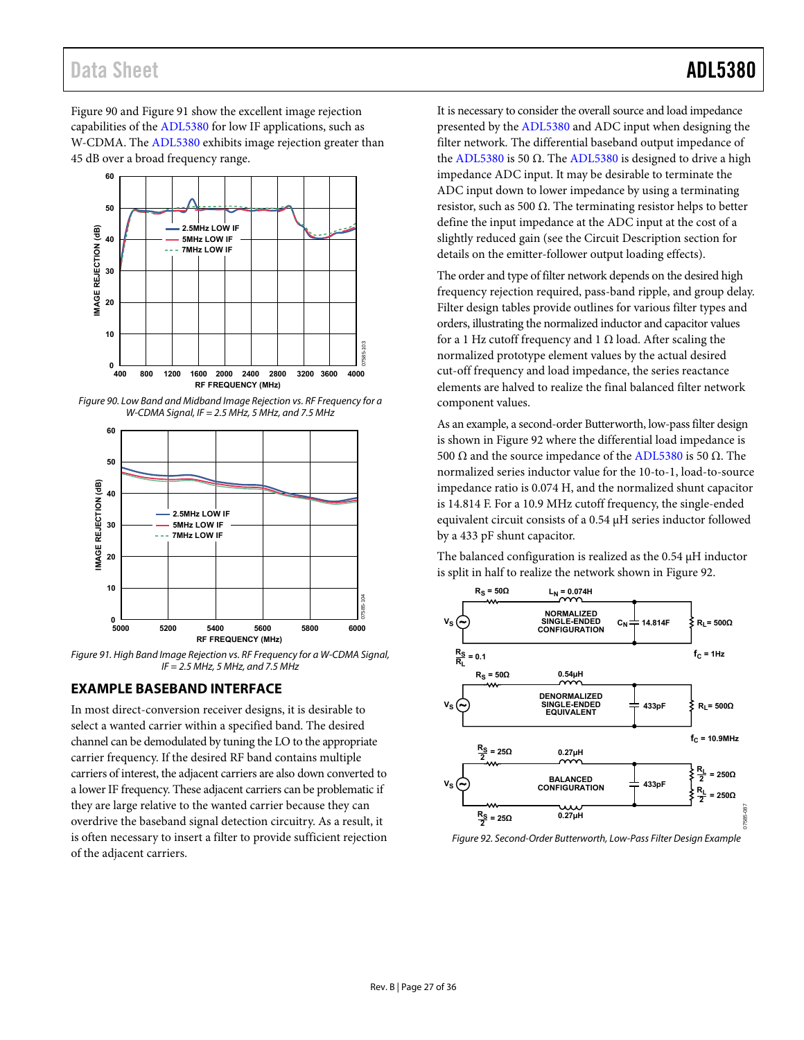## Data Sheet **ADL5380**

[Figure 90 a](#page-26-1)nd [Figure 91 s](#page-26-2)how the excellent image rejection capabilities of th[e ADL5380](http://www.analog.com/ADL5380?doc=ADL5380.pdf) for low IF applications, such as W-CDMA. The [ADL5380 e](http://www.analog.com/ADL5380?doc=ADL5380.pdf)xhibits image rejection greater than 45 dB over a broad frequency range.



<span id="page-26-1"></span>Figure 90. Low Band and Midband Image Rejection vs. RF Frequency for a W-CDMA Signal, IF = 2.5 MHz, 5 MHz, and 7.5 MHz



<span id="page-26-2"></span>Figure 91. High Band Image Rejection vs. RF Frequency for a W-CDMA Signal,  $IF = 2.5 MHz$ , 5 MHz, and 7.5 MHz

### <span id="page-26-0"></span>**EXAMPLE BASEBAND INTERFACE**

In most direct-conversion receiver designs, it is desirable to select a wanted carrier within a specified band. The desired channel can be demodulated by tuning the LO to the appropriate carrier frequency. If the desired RF band contains multiple carriers of interest, the adjacent carriers are also down converted to a lower IF frequency. These adjacent carriers can be problematic if they are large relative to the wanted carrier because they can overdrive the baseband signal detection circuitry. As a result, it is often necessary to insert a filter to provide sufficient rejection of the adjacent carriers.

It is necessary to consider the overall source and load impedance presented by th[e ADL5380](http://www.analog.com/ADL5380?doc=ADL5380.pdf) and ADC input when designing the filter network. The differential baseband output impedance of the [ADL5380](http://www.analog.com/ADL5380?doc=ADL5380.pdf) is 50 Ω. Th[e ADL5380](http://www.analog.com/ADL5380?doc=ADL5380.pdf) is designed to drive a high impedance ADC input. It may be desirable to terminate the ADC input down to lower impedance by using a terminating resistor, such as 500 Ω. The terminating resistor helps to better define the input impedance at the ADC input at the cost of a slightly reduced gain (see the [Circuit Description](#page-21-0) section for details on the emitter-follower output loading effects).

The order and type of filter network depends on the desired high frequency rejection required, pass-band ripple, and group delay. Filter design tables provide outlines for various filter types and orders, illustrating the normalized inductor and capacitor values for a 1 Hz cutoff frequency and 1  $\Omega$  load. After scaling the normalized prototype element values by the actual desired cut-off frequency and load impedance, the series reactance elements are halved to realize the final balanced filter network component values.

As an example, a second-order Butterworth, low-pass filter design is shown in [Figure 92 w](#page-26-3)here the differential load impedance is 500  $\Omega$  and the source impedance of th[e ADL5380](http://www.analog.com/ADL5380?doc=ADL5380.pdf) is 50  $\Omega$ . The normalized series inductor value for the 10-to-1, load-to-source impedance ratio is 0.074 H, and the normalized shunt capacitor is 14.814 F. For a 10.9 MHz cutoff frequency, the single-ended equivalent circuit consists of a 0.54 μH series inductor followed by a 433 pF shunt capacitor.

The balanced configuration is realized as the 0.54 μH inductor is split in half to realize the network shown i[n Figure 92.](#page-26-3)



<span id="page-26-3"></span>Figure 92. Second-Order Butterworth, Low-Pass Filter Design Example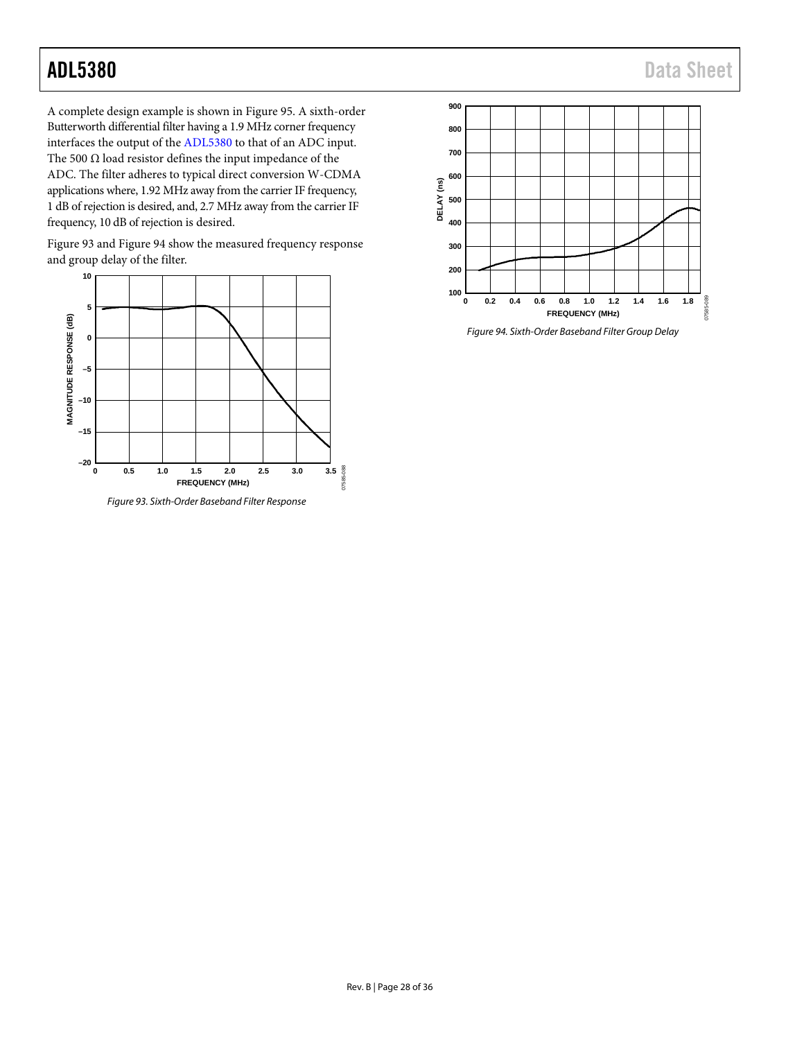A complete design example is shown in [Figure 95.](#page-28-0) A sixth-order Butterworth differential filter having a 1.9 MHz corner frequency interfaces the output of the [ADL5380](http://www.analog.com/ADL5380?doc=ADL5380.pdf) to that of an ADC input. The 500  $\Omega$  load resistor defines the input impedance of the ADC. The filter adheres to typical direct conversion W-CDMA applications where, 1.92 MHz away from the carrier IF frequency, 1 dB of rejection is desired, and, 2.7 MHz away from the carrier IF frequency, 10 dB of rejection is desired.

[Figure 93](#page-27-0) an[d Figure 94](#page-27-1) show the measured frequency response and group delay of the filter.



<span id="page-27-0"></span>*Figure 93. Sixth-Order Baseband Filter Response*



<span id="page-27-1"></span>*Figure 94. Sixth-Order Baseband Filter Group Delay*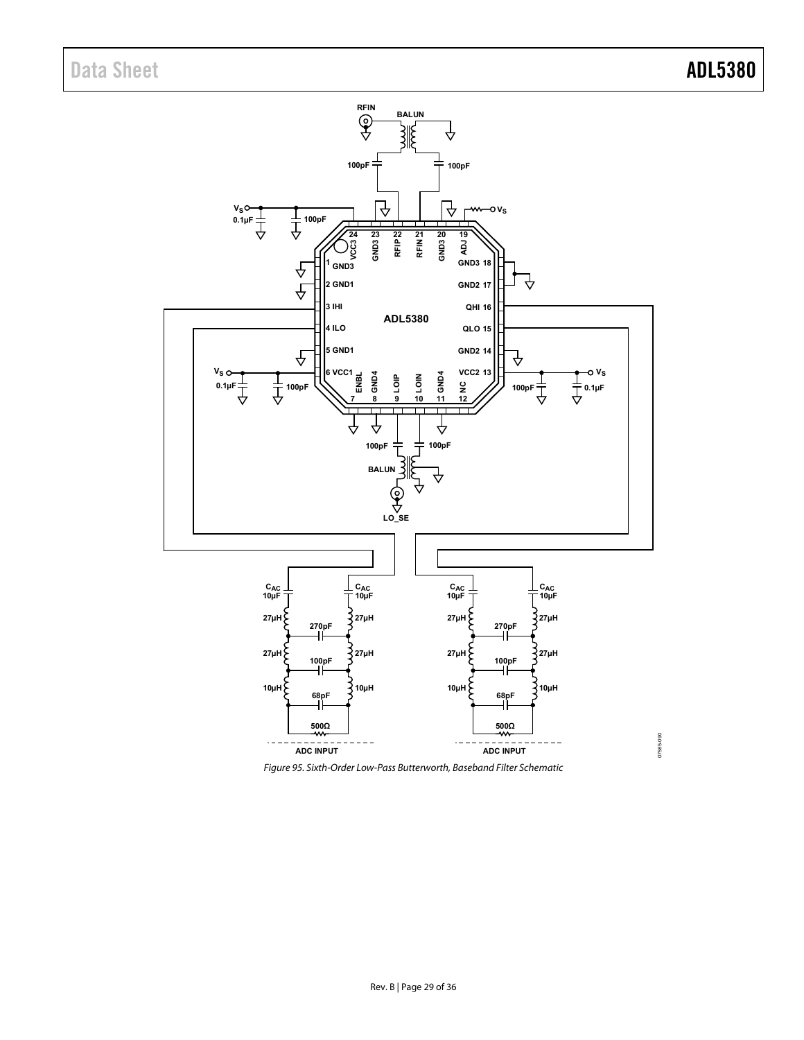

<span id="page-28-0"></span>Figure 95. Sixth-Order Low-Pass Butterworth, Baseband Filter Schematic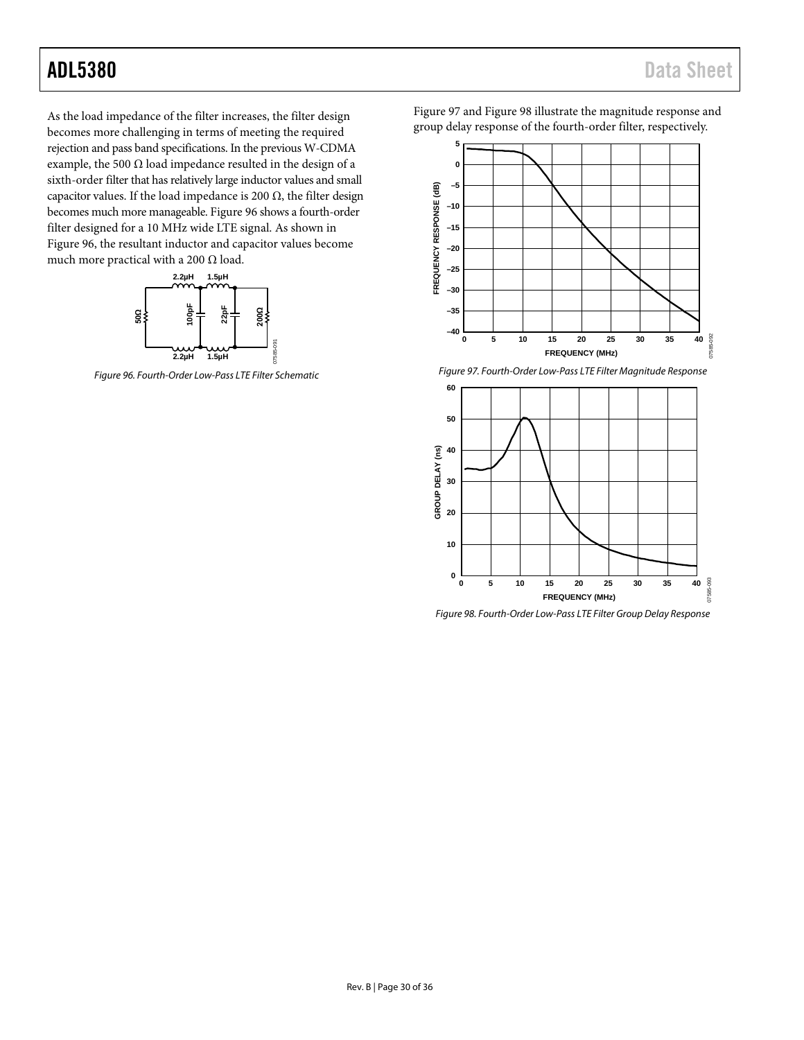As the load impedance of the filter increases, the filter design becomes more challenging in terms of meeting the required rejection and pass band specifications. In the previous W-CDMA example, the 500  $\Omega$  load impedance resulted in the design of a sixth-order filter that has relatively large inductor values and small capacitor values. If the load impedance is 200  $\Omega$ , the filter design becomes much more manageable. [Figure 96](#page-29-0) shows a fourth-order filter designed for a 10 MHz wide LTE signal. As shown in [Figure 96,](#page-29-0) the resultant inductor and capacitor values become much more practical with a 200  $\Omega$  load.



<span id="page-29-0"></span>*Figure 96. Fourth-Order Low-Pass LTE Filter Schematic*

[Figure 97](#page-29-1) an[d Figure 98](#page-29-2) illustrate the magnitude response and group delay response of the fourth-order filter, respectively.



*Figure 97. Fourth-Order Low-Pass LTE Filter Magnitude Response*

<span id="page-29-1"></span>

<span id="page-29-2"></span>*Figure 98. Fourth-Order Low-Pass LTE Filter Group Delay Response*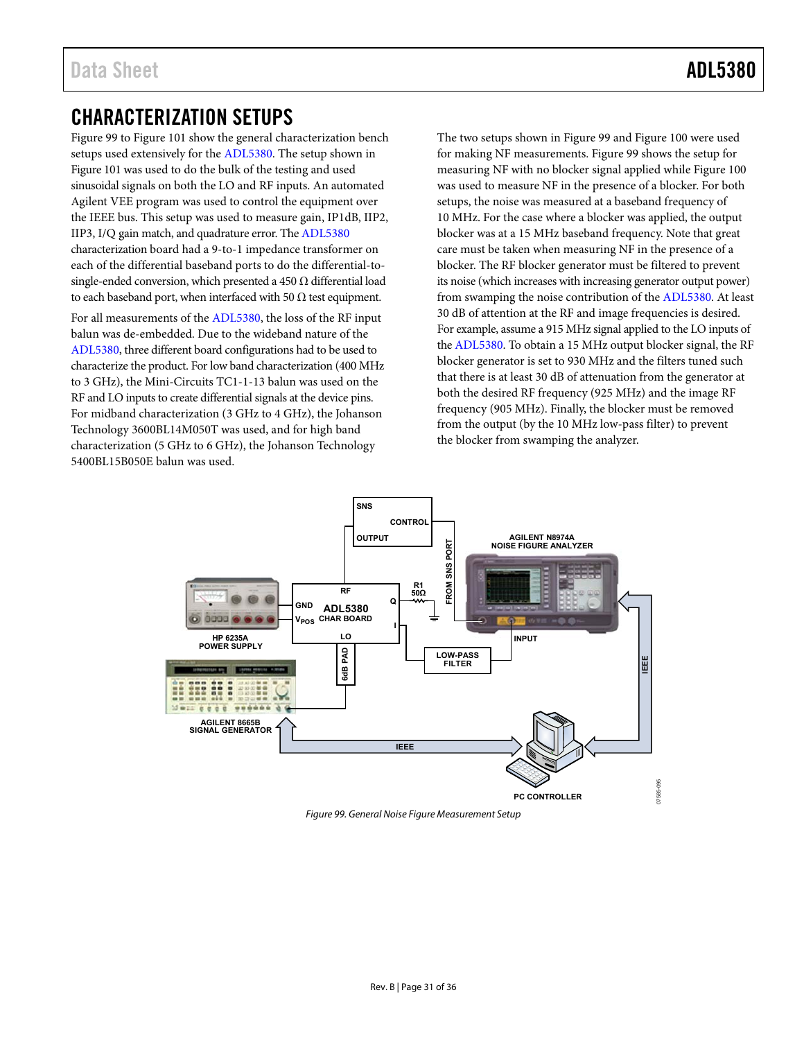## <span id="page-30-0"></span>CHARACTERIZATION SETUPS

[Figure 99 t](#page-30-1)o [Figure 101 s](#page-31-0)how the general characterization bench setups used extensively for th[e ADL5380.](http://www.analog.com/ADL5380?doc=ADL5380.pdf) The setup shown in [Figure 101 w](#page-31-0)as used to do the bulk of the testing and used sinusoidal signals on both the LO and RF inputs. An automated Agilent VEE program was used to control the equipment over the IEEE bus. This setup was used to measure gain, IP1dB, IIP2, IIP3, I/Q gain match, and quadrature error. Th[e ADL5380](http://www.analog.com/ADL5380?doc=ADL5380.pdf) characterization board had a 9-to-1 impedance transformer on each of the differential baseband ports to do the differential-tosingle-ended conversion, which presented a 450  $\Omega$  differential load to each baseband port, when interfaced with 50  $\Omega$  test equipment.

For all measurements of th[e ADL5380,](http://www.analog.com/ADL5380?doc=ADL5380.pdf) the loss of the RF input balun was de-embedded. Due to the wideband nature of the [ADL5380,](http://www.analog.com/ADL5380?doc=ADL5380.pdf) three different board configurations had to be used to characterize the product. For low band characterization (400 MHz to 3 GHz), the Mini-Circuits TC1-1-13 balun was used on the RF and LO inputs to create differential signals at the device pins. For midband characterization (3 GHz to 4 GHz), the Johanson Technology 3600BL14M050T was used, and for high band characterization (5 GHz to 6 GHz), the Johanson Technology 5400BL15B050E balun was used.

The two setups shown i[n Figure 99](#page-30-1) an[d Figure 100 w](#page-31-1)ere used for making NF measurements[. Figure 99 s](#page-30-1)hows the setup for measuring NF with no blocker signal applied whil[e Figure 100](#page-31-1)  was used to measure NF in the presence of a blocker. For both setups, the noise was measured at a baseband frequency of 10 MHz. For the case where a blocker was applied, the output blocker was at a 15 MHz baseband frequency. Note that great care must be taken when measuring NF in the presence of a blocker. The RF blocker generator must be filtered to prevent its noise (which increases with increasing generator output power) from swamping the noise contribution of the [ADL5380.](http://www.analog.com/ADL5380?doc=ADL5380.pdf) At least 30 dB of attention at the RF and image frequencies is desired. For example, assume a 915 MHz signal applied to the LO inputs of th[e ADL5380.](http://www.analog.com/ADL5380?doc=ADL5380.pdf) To obtain a 15 MHz output blocker signal, the RF blocker generator is set to 930 MHz and the filters tuned such that there is at least 30 dB of attenuation from the generator at both the desired RF frequency (925 MHz) and the image RF frequency (905 MHz). Finally, the blocker must be removed from the output (by the 10 MHz low-pass filter) to prevent the blocker from swamping the analyzer.



<span id="page-30-1"></span>Figure 99. General Noise Figure Measurement Setup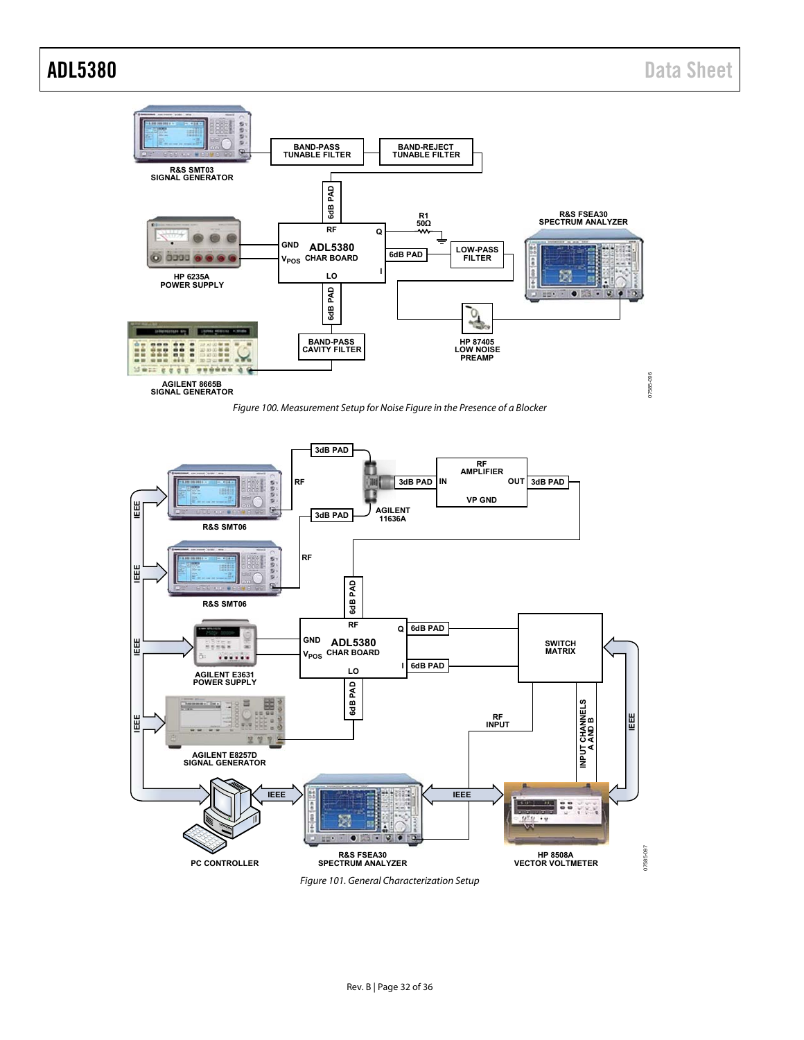



<span id="page-31-1"></span><span id="page-31-0"></span>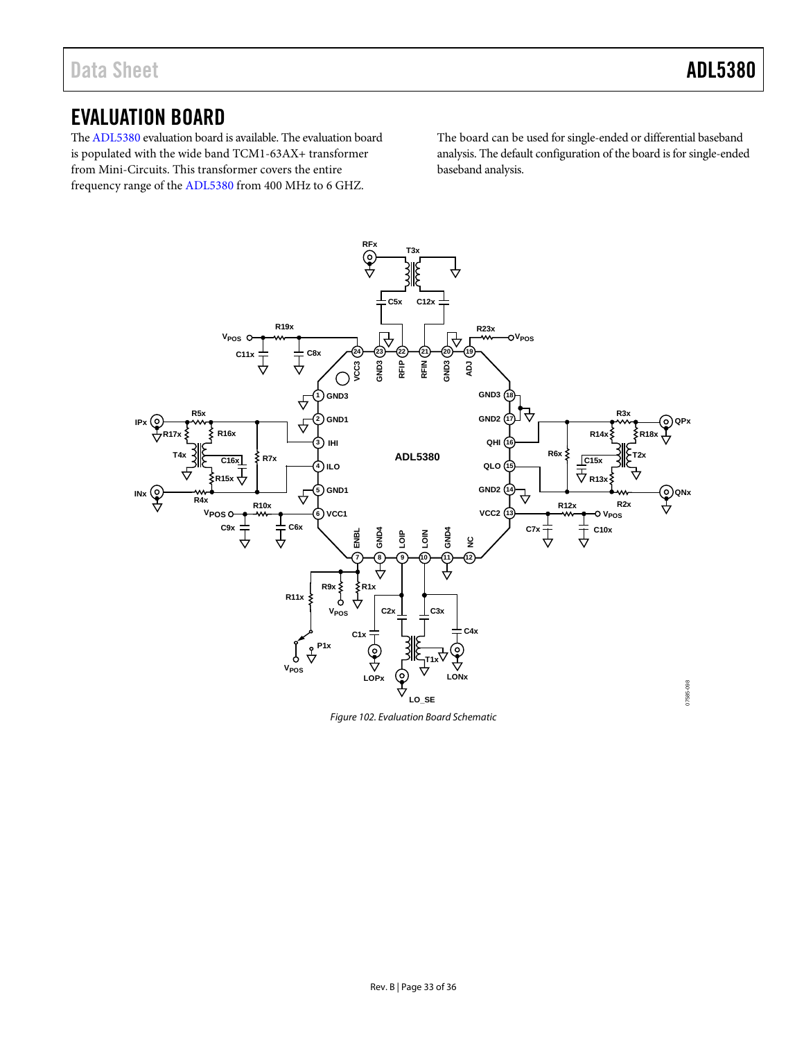## <span id="page-32-0"></span>EVALUATION BOARD

Th[e ADL5380](http://www.analog.com/ADL5380?doc=ADL5380.pdf) evaluation board is available. The evaluation board is populated with the wide band TCM1-63AX+ transformer from Mini-Circuits. This transformer covers the entire frequency range of th[e ADL5380](http://www.analog.com/ADL5380?doc=ADL5380.pdf) from 400 MHz to 6 GHZ.

The board can be used for single-ended or differential baseband analysis. The default configuration of the board is for single-ended baseband analysis.



*Figure 102. Evaluation Board Schematic*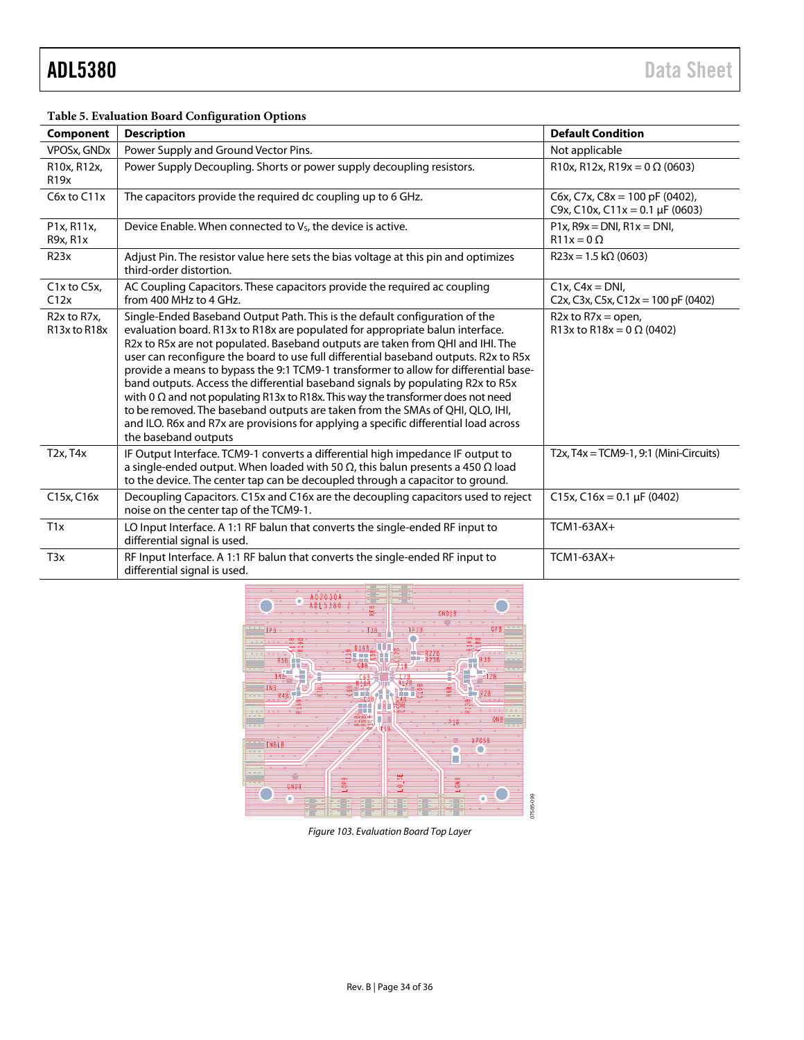#### **Table 5. Evaluation Board Configuration Options**

| Component                                                                       | <b>Description</b>                                                                                                                                                                                                                                                                                                                                                                                                                                                                                                                                                                                                                                                                                                                                                                                            | <b>Default Condition</b>                                                                                        |
|---------------------------------------------------------------------------------|---------------------------------------------------------------------------------------------------------------------------------------------------------------------------------------------------------------------------------------------------------------------------------------------------------------------------------------------------------------------------------------------------------------------------------------------------------------------------------------------------------------------------------------------------------------------------------------------------------------------------------------------------------------------------------------------------------------------------------------------------------------------------------------------------------------|-----------------------------------------------------------------------------------------------------------------|
| <b>VPOSx, GNDx</b>                                                              | Power Supply and Ground Vector Pins.                                                                                                                                                                                                                                                                                                                                                                                                                                                                                                                                                                                                                                                                                                                                                                          | Not applicable                                                                                                  |
| R10x, R12x,<br>R <sub>19x</sub>                                                 | Power Supply Decoupling. Shorts or power supply decoupling resistors.                                                                                                                                                                                                                                                                                                                                                                                                                                                                                                                                                                                                                                                                                                                                         | R10x, R12x, R19x = $0 \Omega (0603)$                                                                            |
| C6x to C11x                                                                     | The capacitors provide the required dc coupling up to 6 GHz.                                                                                                                                                                                                                                                                                                                                                                                                                                                                                                                                                                                                                                                                                                                                                  | C6x, C7x, C8x = 100 pF (0402),<br>C9x, C10x, C11x = 0.1 µF (0603)                                               |
| P1x, R11x,<br>R9x, R1x                                                          | Device Enable. When connected to V <sub>S</sub> , the device is active.                                                                                                                                                                                                                                                                                                                                                                                                                                                                                                                                                                                                                                                                                                                                       | $P1x$ , $R9x = DNI$ , $R1x = DNI$ ,<br>$R11x = 0$ $\Omega$                                                      |
| R23x                                                                            | Adjust Pin. The resistor value here sets the bias voltage at this pin and optimizes<br>third-order distortion.                                                                                                                                                                                                                                                                                                                                                                                                                                                                                                                                                                                                                                                                                                | $R23x = 1.5 k\Omega$ (0603)                                                                                     |
| C1x to C5x,<br>C12x                                                             | AC Coupling Capacitors. These capacitors provide the required ac coupling<br>from 400 MHz to 4 GHz.                                                                                                                                                                                                                                                                                                                                                                                                                                                                                                                                                                                                                                                                                                           | $C1x$ , $C4x = DNI$ ,<br>C <sub>2x</sub> , C <sub>3x</sub> , C <sub>5x</sub> , C <sub>12x</sub> = 100 pF (0402) |
| R <sub>2</sub> x to R <sub>7</sub> x,<br>R <sub>13</sub> x to R <sub>18</sub> x | Single-Ended Baseband Output Path. This is the default configuration of the<br>evaluation board. R13x to R18x are populated for appropriate balun interface.<br>R2x to R5x are not populated. Baseband outputs are taken from QHI and IHI. The<br>user can reconfigure the board to use full differential baseband outputs. R2x to R5x<br>provide a means to bypass the 9:1 TCM9-1 transformer to allow for differential base-<br>band outputs. Access the differential baseband signals by populating R2x to R5x<br>with 0 $\Omega$ and not populating R13x to R18x. This way the transformer does not need<br>to be removed. The baseband outputs are taken from the SMAs of QHI, QLO, IHI,<br>and ILO. R6x and R7x are provisions for applying a specific differential load across<br>the baseband outputs | $R2x$ to $R7x =$ open,<br>R13x to R18x = 0 $\Omega$ (0402)                                                      |
| $T2x$ , $T4x$                                                                   | IF Output Interface. TCM9-1 converts a differential high impedance IF output to<br>a single-ended output. When loaded with 50 $\Omega$ , this balun presents a 450 $\Omega$ load<br>to the device. The center tap can be decoupled through a capacitor to ground.                                                                                                                                                                                                                                                                                                                                                                                                                                                                                                                                             | $T2x$ , $T4x = TCM9-1$ , 9:1 (Mini-Circuits)                                                                    |
| C15x, C16x                                                                      | Decoupling Capacitors. C15x and C16x are the decoupling capacitors used to reject<br>noise on the center tap of the TCM9-1.                                                                                                                                                                                                                                                                                                                                                                                                                                                                                                                                                                                                                                                                                   | C15x, C16x = 0.1 µF (0402)                                                                                      |
| T1x                                                                             | LO Input Interface. A 1:1 RF balun that converts the single-ended RF input to<br>differential signal is used.                                                                                                                                                                                                                                                                                                                                                                                                                                                                                                                                                                                                                                                                                                 | TCM1-63AX+                                                                                                      |
| T <sub>3x</sub>                                                                 | RF Input Interface. A 1:1 RF balun that converts the single-ended RF input to<br>differential signal is used.                                                                                                                                                                                                                                                                                                                                                                                                                                                                                                                                                                                                                                                                                                 | TCM1-63AX+                                                                                                      |



*Figure 103. Evaluation Board Top Layer*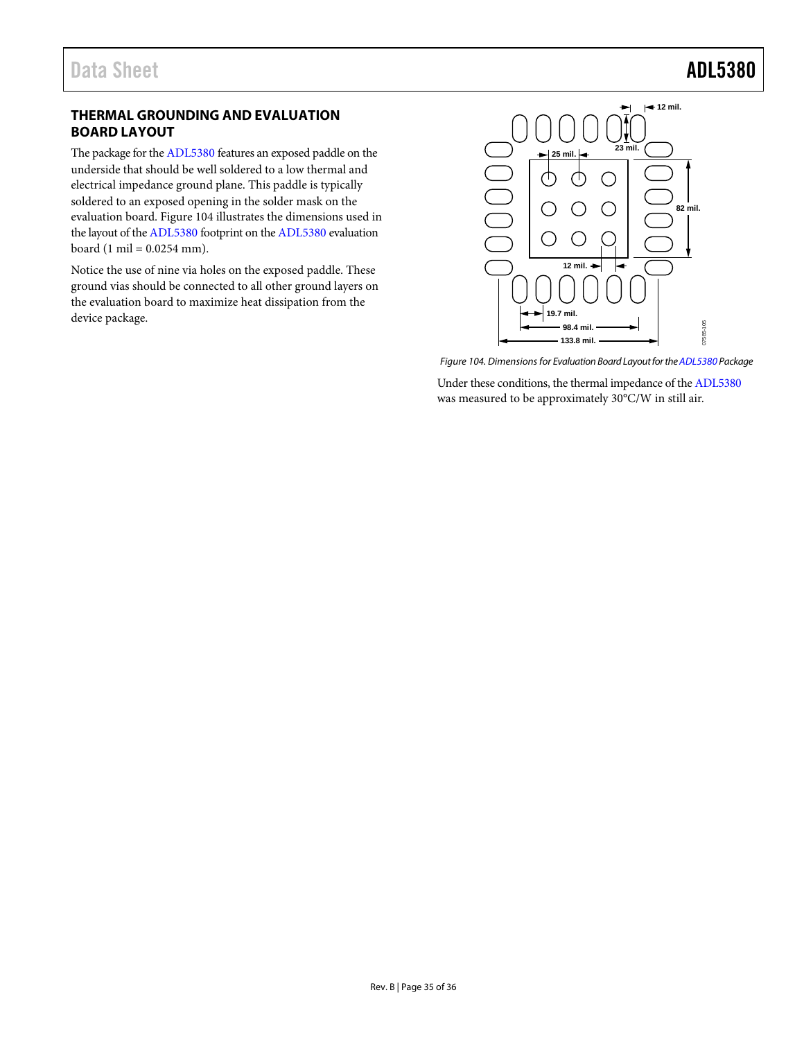### <span id="page-34-0"></span>**THERMAL GROUNDING AND EVALUATION BOARD LAYOUT**

The package for th[e ADL5380](http://www.analog.com/ADL5380?doc=ADL5380.pdf) features an exposed paddle on the underside that should be well soldered to a low thermal and electrical impedance ground plane. This paddle is typically soldered to an exposed opening in the solder mask on the evaluation board. [Figure 104](#page-34-1) illustrates the dimensions used in the layout of th[e ADL5380](http://www.analog.com/ADL5380?doc=ADL5380.pdf) footprint on th[e ADL5380](http://www.analog.com/ADL5380?doc=ADL5380.pdf) evaluation board (1 mil =  $0.0254$  mm).

Notice the use of nine via holes on the exposed paddle. These ground vias should be connected to all other ground layers on the evaluation board to maximize heat dissipation from the device package.



*Figure 104. Dimensions for Evaluation Board Layout for th[e ADL5380](http://www.analog.com/ADL5380?doc=ADL5380.pdf) Package*

<span id="page-34-1"></span>Under these conditions, the thermal impedance of the [ADL5380](http://www.analog.com/ADL5380?doc=ADL5380.pdf) was measured to be approximately 30°C/W in still air.